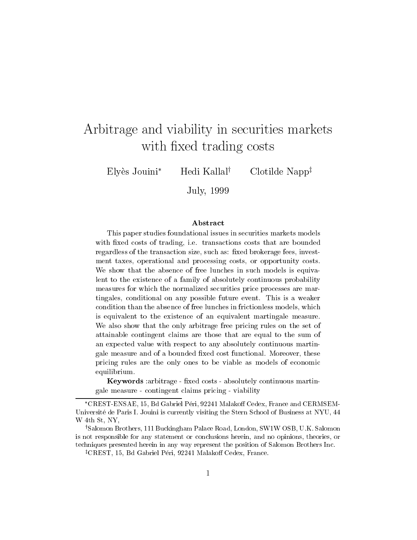# Arbitrage and viability in securities markets with fixed trading costs

Elyès Jouini<sup>\*</sup> Hedi Kallal<sup>†</sup> Clotilde Napp<sup>‡</sup>

July, <sup>1999</sup>

#### ${\bf Abstract}$

This paper studies foundational issues in securities markets models $\ldots$  . The costs of trading, i.e. that are bounded costs that are bounded to the costs that are bounded to the bounded of the costs of the costs of the costs of the costs of the costs of the costs of the costs of the cos regardless of the transaction size, such as: xed brokerage fees, investment taxes, operational and processing costs, or opportunity costs. we show that the absence of free lunches is the such models in such models in such models is equivalent. lent to the existence of <sup>a</sup> family of absolutely continuous probability measures for which the normalized securities price processes are martingales, conditional on any possible future event. This is <sup>a</sup> weaker condition than the absence of free lunches in frictionless models, whichis equivalent to the existence of an equivalent martingale measure. We also show that the only arbitrage free pricing rules on the set of attainable contingent claims are those that are equal to the sum of an expected value with respect to any absolutely continuous martingale measure and of a bounded xed cost functional. Moreover, these pricing rules are the only ones to be viable as models of economic equilibrium.

Keywords : arbitrage - fixed costs - absolutely continuous martingale measure - contingent claims pricing - viability

<sup>\*</sup>CREST-ENSAE, 15, Bd Gabriel Péri, 92241 Malakoff Cedex, France and CERMSEM-Universite de Paris I. Jouini is currently visiting the Stern School of Business at NYU, 44 W 4th St, NY,

<sup>&</sup>lt;sup>†</sup>Salomon Brothers, 111 Buckingham Palace Road, London, SW1W OSB, U.K. Salomon is not responsible for any statement or conclusions herein, and no opinions, theories, or techniques presented herein in any way represent the position of Salomon Brothers Inc.

<sup>&</sup>lt;sup> $\ddagger$ </sup>CREST, 15, Bd Gabriel Péri, 92241 Malakoff Cedex, France.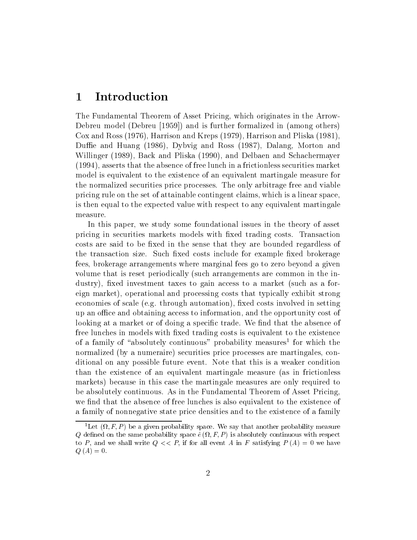### 1 Introduction

The Fundamental Theorem of Asset Pricing, which originates in the Arrow-Debreu model (Debreu [1959]) and is further formalized in (among others) Cox and Ross (1976), Harrison and Kreps (1979), Harrison and Pliska (1981), Duffie and Huang (1986), Dybvig and Ross (1987), Dalang, Morton and Willinger (1989), Back and Pliska (1990), and Delbaen and Schachermayer (1994), asserts that the absence of free lunch in a frictionless securities market model is equivalent to the existence of an equivalent martingale measure for the normalized securities price processes. The only arbitrage free and viable pricing rule on the set of attainable contingent claims, which is a linear space, is then equal to the expected value with respect to any equivalent martingale measure.

In this paper, we study some foundational issues in the theory of asset pricing in securities markets models with fixed trading costs. Transaction costs are said to be fixed in the sense that they are bounded regardless of the transaction size. Such fixed costs include for example fixed brokerage fees, brokerage arrangements where marginal fees go to zero beyond a given volume that is reset periodically (such arrangements are common in the industry), fixed investment taxes to gain access to a market (such as a foreign market), operational and processing costs that typically exhibit strong economies of scale (e.g. through automation), fixed costs involved in setting up an office and obtaining access to information, and the opportunity cost of looking at a market or of doing a specific trade. We find that the absence of free lunches in models with fixed trading costs is equivalent to the existence of a family of absolutely continuous - probability measures" for which the normalized (by a numeraire) securities price processes are martingales, conditional on any possible future event. Note that this is a weaker condition than the existence of an equivalent martingale measure (as in frictionless markets) because in this case the martingale measures are only required to be absolutely continuous. As in the Fundamental Theorem of Asset Pricing, we find that the absence of free lunches is also equivalent to the existence of a family of nonnegative state price densities and to the existence of a family

Let  $(i, r, r)$  be a given probability space. We say that another probability measure  $\mathcal{A}_i$  decreases the same probability space  $\mathcal{A}_i$  ,  $\mathcal{A}_i$  is absolutely continuous with respect to to P, and we shall write  $Q \ll P$ , if for all event A in F satisfying  $P(A) = 0$  we have  $Q(A)=0.$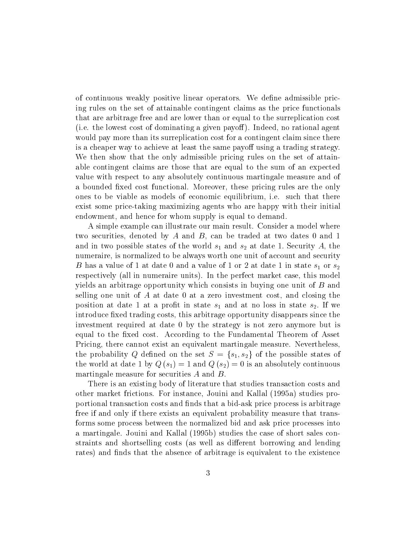of continuous weakly positive linear operators. We define admissible pricing rules on the set of attainable contingent claims as the price functionals that are arbitrage free and are lower than or equal to the surreplication cost (i.e. the lowest cost of dominating a given payoff). Indeed, no rational agent would pay more than its surreplication cost for a contingent claim since there is a cheaper way to achieve at least the same payoff using a trading strategy. We then show that the only admissible pricing rules on the set of attainable contingent claims are those that are equal to the sum of an expected value with respect to any absolutely continuous martingale measure and of a bounded fixed cost functional. Moreover, these pricing rules are the only ones to be viable as models of economic equilibrium, i.e. such that there exist some price-taking maximizing agents who are happy with their initial endowment, and hence for whom supply is equal to demand.

A simple example can illustrate our main result. Consider a model where two securities, denoted by A and B, can be traded at two dates 0 and 1 and in two possible states of the world  $s_1$  and  $s_2$  at date 1. Security A, the numeraire, is normalized to be always worth one unit of account and security B has a value of 1 at date 0 and a value of 1 or 2 at date 1 in state  $s_1$  or  $s_2$ respectively (all in numeraire units). In the perfect market case, this model yields an arbitrage opportunity which consists in buying one unit of  $B$  and selling one unit of  $A$  at date 0 at a zero investment cost, and closing the position at date 1 at a profit in state  $s_1$  and at no loss in state  $s_2$ . If we introduce fixed trading costs, this arbitrage opportunity disappears since the investment required at date 0 by the strategy is not zero anymore but is equal to the fixed cost. According to the Fundamental Theorem of Asset Pricing, there cannot exist an equivalent martingale measure. Nevertheless, the probability Q defined on the set  $S = \{s_1, s_2\}$  of the possible states of the world at date 1 by  $Q(s_1) = 1$  and  $Q(s_2) = 0$  is an absolutely continuous martingale measure for securities  $A$  and  $B$ .

There is an existing body of literature that studies transaction costs and other market frictions. For instance, Jouini and Kallal (1995a) studies proportional transaction costs and finds that a bid-ask price process is arbitrage free if and only if there exists an equivalent probability measure that transforms some process between the normalized bid and ask price processes into a martingale. Jouini and Kallal (1995b) studies the case of short sales constraints and shortselling costs (as well as different borrowing and lending rates) and finds that the absence of arbitrage is equivalent to the existence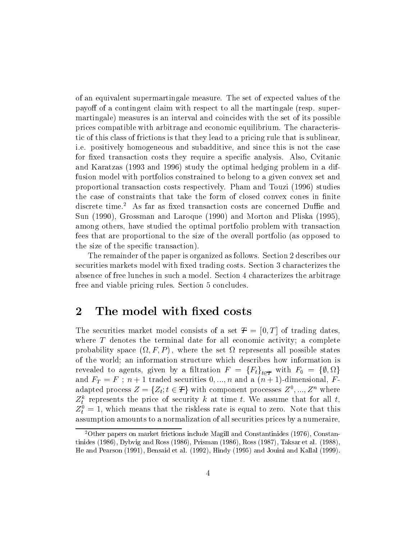of an equivalent supermartingale measure. The set of expected values of the payoff of a contingent claim with respect to all the martingale (resp. supermartingale) measures is an interval and coincides with the set of its possible prices compatible with arbitrage and economic equilibrium. The characteristic of this class of frictions is that they lead to a pricing rule that is sublinear, i.e. positively homogeneous and subadditive, and since this is not the case for fixed transaction costs they require a specific analysis. Also, Cvitanic and Karatzas (1993 and 1996) study the optimal hedging problem in a diffusion model with portfolios constrained to belong to a given convex set and proportional transaction costs respectively. Pham and Touzi (1996) studies the case of constraints that take the form of closed convex cones in finite discrete time.<sup>2</sup> As far as fixed transaction costs are concerned Duffie and Sun (1990), Grossman and Laroque (1990) and Morton and Pliska (1995), among others, have studied the optimal portfolio problem with transaction fees that are proportional to the size of the overall portfolio (as opposed to the size of the specific transaction).

The remainder of the paper is organized as follows. Section 2 describes our securities markets model with fixed trading costs. Section 3 characterizes the absence of free lunches in such a model. Section 4 characterizes the arbitrage free and viable pricing rules. Section 5 concludes.

### 2 The model with fixed costs

The securities market model consists of a set  $T = [0, T]$  of trading dates. where  $T$  denotes the terminal date for all economic activity; a complete probability space ( ; F; P ) ; where the set represents all possible states of the world; an information structure which describes how information is revealed to agents, given by a nitration  $F = \{F_t\}_{t \in T}$  with  $F_0 = \{\emptyset, \Omega\}$ and  $F_T = F$ ;  $n + 1$  traded securities  $0, ..., n$  and a  $(n + 1)$ -dimensional, Fadapted process  $Z = \{Z_t; t \in T\}$  with component processes  $Z^*, ..., Z^n$  where  $Z_t^T$  represents the price of security k at time t. We assume that for all  $t$ ,  $Z_t^+ = 1$ , which means that the riskless rate is equal to zero. Note that this assumption amounts to a normalization of all securities prices by a numeraire.

<sup>2</sup>Other papers on market frictions include Magill and Constantinides (1976), Constantinides (1986), Dybvig and Ross (1986), Prisman (1986), Ross (1987), Taksar et al. (1988), He and Pearson (1991), Bensaid et al. (1992), Hindy (1995) and Jouini and Kallal (1999).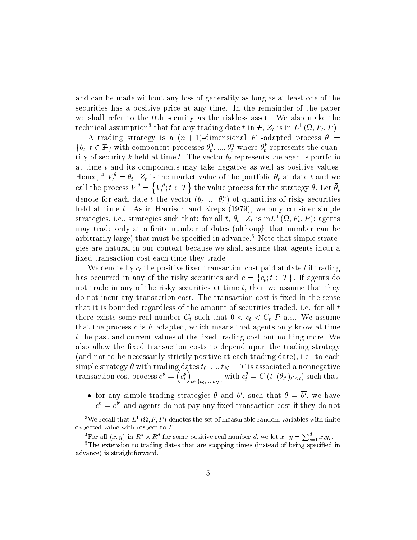and can be made without any loss of generality as long as at least one of the securities has a positive price at any time. In the remainder of the paper we shall refer to the 0th security as the riskless asset. We also make the technical assumption that for any trading date t in  $\bm{\tau}, Z_t$  is in  $L^1(\Omega, \Gamma_t, P)$  .

A trading strategy is a  $(n + 1)$ -dimensional F -adapted process  $\theta$  =  $\{v_i; i \in \tau\}$  with component processes  $v_i^*,..., v_i^*$  where  $v_i^*$  represents the quantity of security k held at time t. The vector  $\theta_t$  represents the agent's portfolio at time t and its components may take negative as well as positive values. Hence,  $V_t^* = v_t \cdot Z_t$  is the market value of the portfolio  $v_t$  at date t and we call the process  $V^{\theta} = \left\{V^{\theta}_t; t \in \mathcal{F}\right\}$  the value the value process for the strategy  $v$ . Let  $v_t$ denote for each date t the vector  $(\sigma_t^*,..., \sigma_t^*)$  of quantities of risky securities held at time  $t$ . As in Harrison and Kreps  $(1979)$ , we only consider simple strategies, i.e., strategies such that: for all  $t, \sigma_t \cdot \omega_t$  is in $L^1(\Omega, \Gamma_t, \Gamma)$ ; agents may trade only at a finite number of dates (although that number can be arbitrarily large) that must be specified in advance.<sup>5</sup> Note that simple strategies are natural in our context because we shall assume that agents incur a fixed transaction cost each time they trade.

We denote by  $c_t$  the positive fixed transaction cost paid at date t if trading has occurred in any of the risky securities and  $c = \{c_t, t \in \mathcal{F}\}\.$  If agents do not trade in any of the risky securities at time  $t$ , then we assume that they do not incur any transaction cost. The transaction cost is fixed in the sense that it is bounded regardless of the amount of securities traded, i.e. for all t there exists some real number  $C_t$  such that  $0 < c_t < C_t P$  a.s.. We assume that the process  $c$  is  $F$ -adapted, which means that agents only know at time t the past and current values of the fixed trading cost but nothing more. We also allow the fixed transaction costs to depend upon the trading strategy (and not to be necessarily strictly positive at each trading date), i.e., to each  $\mathbf{S}$ simple strategy dates to the trading dates to the T is associated a non-negative and  $\mathbf{S}$ transaction cost process  $c = (c_+$   $\left(c_{t}^{\theta}\right)_{t\in\left\{ t_{0},...,t_{N}\right\} }$  with  $c_{t}^{\theta}=C\left(t,(\theta_{t'})_{t'\leq t}\right)$  such that:

- for any simple trading strategies  $\theta$  and  $\theta'$ , such that  $\theta = \theta'$ , we have
- $c^{\prime\prime}=c^{\prime\prime}$  and agents do not pay any fixed transaction cost if they do not

 $\sim$  we recall that  $L^2(\Omega,F,F)$  denotes the set of measurable random variables with limite expected value with respect to P:

<sup>&</sup>lt;sup>4</sup>For all  $(x, y)$  in  $R^d \times R^d$  for some positive real number d, we let  $x \cdot y = \sum_{i=1}^a x_i y_i$ .

 $5$ The extension to trading dates that are stopping times (instead of being specified in advance) is straightforward.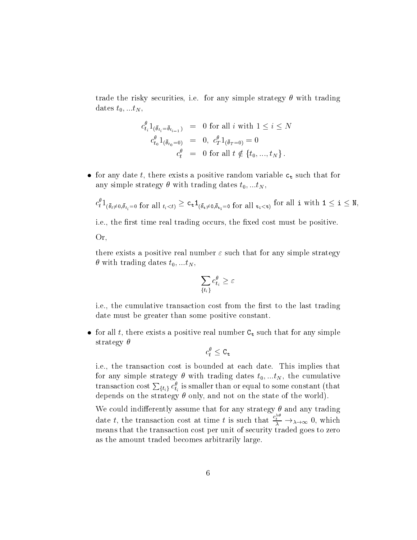trade the risky securities, i.e. for any simple strategy  $\theta$  with trading dates  $t_0, ...t_N$ ,

$$
c_{t_i}^{\theta} 1_{(\bar{\theta}_{t_i} = \bar{\theta}_{t_{i-1}})} = 0 \text{ for all } i \text{ with } 1 \le i \le N
$$
  
\n
$$
c_{t_0}^{\theta} 1_{(\bar{\theta}_{t_0} = 0)} = 0, \ c_T^{\theta} 1_{(\bar{\theta}_T = 0)} = 0
$$
  
\n
$$
c_t^{\theta} = 0 \text{ for all } t \notin \{t_0, ..., t_N\}.
$$

 $\bullet$  for any date  $\iota,$  there exists a positive random variable  ${\mathsf c}_{\mathsf t}$  such that for any simple strategy  $\theta$  with trading dates  $t_0, ... t_N$ ,

$$
c_t^{\theta}1_{(\bar{\theta}_t\neq0,\bar{\theta}_{t_i}=0\text{ for all }t_i
$$

i.e., the first time real trading occurs, the fixed cost must be positive.

Or,

there exists a positive real number  $\varepsilon$  such that for any simple strategy  $\theta$  with trading dates  $t_0, ... t_N$ ,

$$
\sum_{\{t_i\}} c_{t_i}^{\theta} \geq \varepsilon
$$

i.e., the cumulative transaction cost from the first to the last trading date must be greater than some positive constant.

 $\bullet$  for all  $\iota$ , there exists a positive real number  ${\tt C_t}$  such that for any simple strategy  $\theta$ 

$$
c_t^{\theta} \leq \texttt{C}_{\texttt{t}}
$$

i.e., the transaction cost is bounded at each date. This implies that for any simple strategy  $\theta$  with trading dates  $t_0, ...t_N$ , the cumulative transaction cost  $\sum_{\{t_i\}} c_{t_i}^{\theta}$  is smaller than or equal to some constant (that depends on the strategy  $\theta$  only, and not on the state of the world).

We could indifferently assume that for any strategy  $\theta$  and any trading date t, the transaction cost at time t is such that  $\frac{c_t}{\lambda} \to_{\lambda \to \infty} 0$ , which means that the transaction cost per unit of security traded goes to zero as the amount traded becomes arbitrarily large.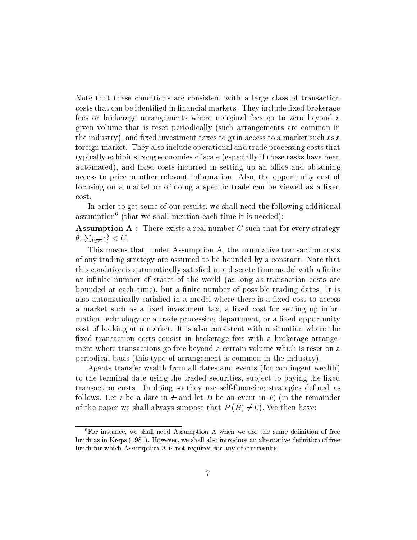Note that these conditions are consistent with a large class of transaction costs that can be identified in financial markets. They include fixed brokerage fees or brokerage arrangements where marginal fees go to zero beyond a given volume that is reset periodically (such arrangements are common in the industry), and fixed investment taxes to gain access to a market such as a foreign market. They also include operational and trade processing costs that typically exhibit strong economies of scale (especially if these tasks have been automated), and fixed costs incurred in setting up an office and obtaining access to price or other relevant information. Also, the opportunity cost of focusing on a market or of doing a specific trade can be viewed as a fixed cost.

In order to get some of our results, we shall need the following additional assumption<sup>6</sup> (that we shall mention each time it is needed):

**Assumption A** : There exists a real number C such that for every strategy  $\theta$ ,  $\sum_{t \in \mathcal{T}} c_t^{\theta} < C$ .

This means that, under Assumption A, the cumulative transaction costs of any trading strategy are assumed to be bounded by a constant. Note that this condition is automatically satisfied in a discrete time model with a finite or infinite number of states of the world (as long as transaction costs are bounded at each time), but a finite number of possible trading dates. It is also automatically satisfied in a model where there is a fixed cost to access a market such as a fixed investment tax, a fixed cost for setting up information technology or a trade processing department, or a fixed opportunity cost of looking at a market. It is also consistent with a situation where the fixed transaction costs consist in brokerage fees with a brokerage arrangement where transactions go free beyond a certain volume which is reset on a periodical basis (this type of arrangement is common in the industry).

Agents transfer wealth from all dates and events (for contingent wealth) to the terminal date using the traded securities, subject to paying the fixed transaction costs. In doing so they use self-financing strategies defined as follows. Let i be a date in  $\mathcal F$  and let B be an event in  $F_i$  (in the remainder of the paper we shall always suppose that  $P(B)\neq 0$ ). We then have:

 $6$ For instance, we shall need Assumption A when we use the same definition of free lunch as in Kreps (1981). However, we shall also introduce an alternative definition of free lunch for which Assumption A is not required for any of our results.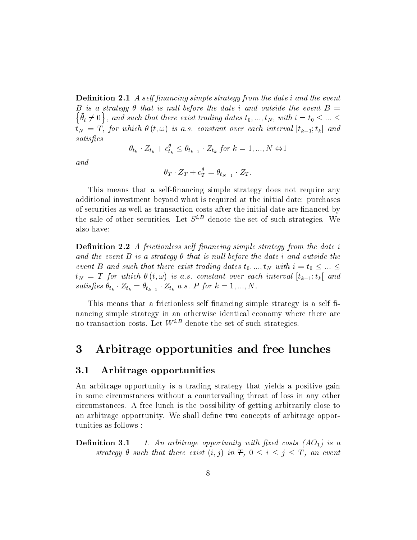**Definition 2.1** A self financing simple strategy from the date i and the event B is a strategy that is nul l before the date i and outside the event B = na ang pangangan ang pangangan ang pangangan ang pangangan ang pangangan ang pangangan ang pangangang mang pan  $\{\bartheta}_i \neq 0\}$  , and such that there exist trading dates  $t_0,...,t_N,$  with  $i=t_0 \leq ... \leq t_N$  $\mathbf{r}_N$  =  $\mathbf{r}_1$  ;  $\mathbf{r}_2$  is a significant over each interval  $\mathbf{r}_N$  ,  $\mathbf{r}_N$  and  $\mathbf{r}_N$  and  $\mathbf{r}_N$  and  $\mathbf{r}_N$  and  $\mathbf{r}_N$  and  $\mathbf{r}_N$  and  $\mathbf{r}_N$  and  $\mathbf{r}_N$  and  $\mathbf{r}_N$  and  $\mathbf{r}_N$  and satisfies

$$
\theta_{t_k} \cdot Z_{t_k} + c_{t_k}^{\theta} \le \theta_{t_{k-1}} \cdot Z_{t_k} \text{ for } k = 1, ..., N \Leftrightarrow 1
$$

 $and$ 

$$
\theta_T \cdot Z_T + c_T^{\theta} = \theta_{t_{N-1}} \cdot Z_T.
$$

This means that a self-financing simple strategy does not require any additional investment beyond what is required at the initial date: purchases of securities as well as transaction costs after the initial date are financed by the sale of other securities. Let  $S^{i,B}$  denote the set of such strategies. We also have:

**Definition 2.2** A frictionless self financing simple strategy from the date i and the event B is a strategy  $\theta$  that is null before the date i and outside the event B and such that there exist trading dates  $t_0, ..., t_N$  with  $i = t_0 \leq ... \leq t_N$  $t_N = T$  for which  $\theta(t, \omega)$  is a.s. constant over each interval  $[t_{k-1}; t_k[$  and satisfies  $\theta_{t_k} \cdot \Delta_{t_k} = \theta_{t_{k-1}} \cdot \Delta_{t_k}$  a.s. P for  $k = 1, ..., N$ .

This means that a frictionless self financing simple strategy is a self financing simple strategy in an otherwise identical economy where there are no transaction costs. Let  $W^{i,B}$  denote the set of such strategies.

# 3 Arbitrage opportunities and free lunches

#### 3.1 Arbitrage opportunities

An arbitrage opportunity is a trading strategy that yields a positive gain in some circumstances without a countervailing threat of loss in any other circumstances. A free lunch is the possibility of getting arbitrarily close to an arbitrage opportunity. We shall define two concepts of arbitrage opportunities as follows :

**Definition 3.1** 1. An arbitrage opportunity with fixed costs  $(AO<sub>1</sub>)$  is a strategy  $\theta$  such that there exist  $(i, j)$  in  $\mathcal{F}, 0 \leq i \leq j \leq T$ , an event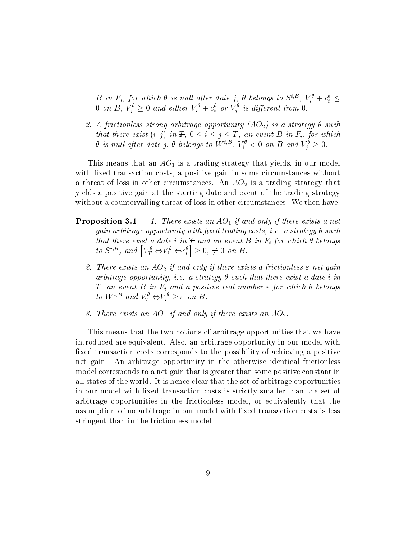$B$  in  $F_i$ , for which  $\theta$  is null after date f,  $\theta$  belongs to  $S^{\gamma \omega}$ ,  $V_i^* + C_i^* \leq \theta$  $\sigma$  on  $D$ ,  $V_j \geq 0$  and either  $V_i + c_i$  or  $V_j$  is atyperent from  $0$ .

2. A frictionless strong arbitrage opportunity  $(AO<sub>2</sub>)$  is a strategy  $\theta$  such that there exist  $(i, j)$  in  $\mathcal{F}, 0 \leq i \leq j \leq T$ , an event B in  $F_i$ , for which  $\theta$  is null after date j,  $\theta$  belongs to Wiff,  $V_i < 0$  on B and  $V_j \geq 0$ .

This means that an  $AO<sub>1</sub>$  is a trading strategy that yields, in our model with fixed transaction costs, a positive gain in some circumstances without a threat of loss in other circumstances. An  $AO<sub>2</sub>$  is a trading strategy that yields a positive gain at the starting date and event of the trading strategy without a countervailing threat of loss in other circumstances. We then have:

- **Proposition 3.1** 1. There exists an  $AO<sub>1</sub>$  if and only if there exists a net gain arbitrage opportunity with fixed trading costs, i.e. a strategy  $\theta$  such that there exist a date i in  $\mathcal F$  and an event  $B$  in  $F_i$  for which  $\theta$  belongs to  $S^{i,B}$ , and  $[V_T^{\theta} \Leftrightarrow V_i^{\theta} \Leftrightarrow c_i^{\theta}] \geq 0, \neq 0$  on B.
	- 2. There exists an  $AO<sub>2</sub>$  if and only if there exists a frictionless  $\varepsilon$ -net gain arbitrage opportunity, i.e. a strategy  $\theta$  such that there exist a date i in T; and event  $\equiv$  in Fig. and a positive real number  $\sim$  jet which is expected. to  $W^{*,\Xi}$  and  $V^*_{T} \Leftrightarrow V^*_{i} \geq \varepsilon$  on  $D$ .
	- 3. There exists an  $AO<sub>1</sub>$  if and only if there exists an  $AO<sub>2</sub>$ .

This means that the two notions of arbitrage opportunities that we have introduced are equivalent. Also, an arbitrage opportunity in our model with fixed transaction costs corresponds to the possibility of achieving a positive net gain. An arbitrage opportunity in the otherwise identical frictionless model corresponds to a net gain that is greater than some positive constant in all states of the world. It is hence clear that the set of arbitrage opportunities in our model with fixed transaction costs is strictly smaller than the set of arbitrage opportunities in the frictionless model, or equivalently that the assumption of no arbitrage in our model with fixed transaction costs is less stringent than in the frictionless model.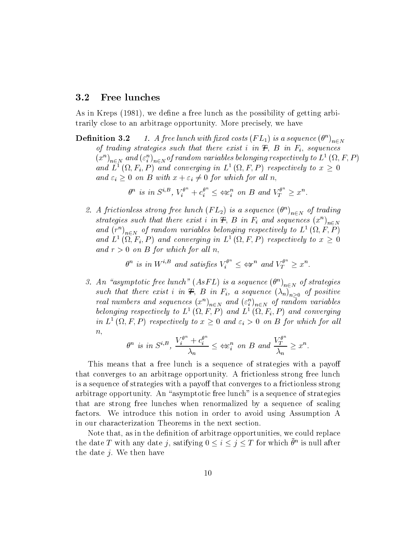#### 3.2 Free lunches

As in Kreps (1981), we define a free lunch as the possibility of getting arbitrarily close to an arbitrage opportunity. More precisely, we have

**Definition 3.2** 1. A free tunch with fixed costs  $(F L_1)$  is a sequence  $(\sigma)_{n \in N}$ of trading strategies such that there exist i in  $\overline{F}$ , B in  $\overline{F}_i$ , sequences  $(x^{\mu})_{n\in N}$  and  $(\varepsilon_i^{\mu})_{n\in N}$  of random variables belonging respectively to  $L^{\infty}(\Omega, F, F)$ and L<sup>+</sup> (M, F<sub>i</sub>, F) and converging in L<sup>+</sup> (M, F, F) respectively to  $x \geq 0$ and  $\varepsilon_i \geq 0$  on B with  $x + \varepsilon_i \neq 0$  for which for all n,  $\begin{aligned} \mathcal{L}^{n} &\in \mathcal{L}^{n} \setminus \{1,1\} \rightarrow \mathcal{L}^{n} \ 0 \,\, for \,\, which \,\, for \,\, all \,\, r \ \mathcal{L}^{n} &\in \mathcal{L}^{n}_{i} \,\,\, on \,\, B \,\,\, and \end{aligned}$ 

$$
\theta^n
$$
 is in  $S^{i,B}$ ,  $V_i^{\theta^n} + c_i^{\theta^n} \leq \Leftrightarrow_i^n$  on B and  $V_T^{\theta^n} \geq x^n$ .

2. A frictionless strong free tunch  $(F L_2)$  is a sequence  $(\sigma)_{n \in N}$  of trading strategies such that there exist i in  $\pm$ ,  $D$  in  $\Gamma_i$  and sequences  $(x^{\alpha})_{n\in N}$ and  $(r)_{n\in N}$  of random variables belonging respectively to  $L^-(\Omega, r, F)$ and L<sup>-</sup> (M,  $\Gamma_i, \Gamma$ ) and converging in L<sup>-</sup> (M,  $\Gamma, \Gamma$ ) respectively to  $x \geq 0$ and  $r > 0$  on B for which for all n,  $\begin{aligned} \mathcal{L}^{q^n} \leq \Leftrightarrow^{n} \text{ and } V_T^{\theta^n} \geq \end{aligned}$ 

$$
\theta^n
$$
 is in  $W^{i,B}$  and satisfies  $V_i^{\theta^n} \leq \Leftrightarrow r^n$  and  $V_T^{\theta^n} \geq x^n$ .

3. An asymptotic free lunch  $(A \, S \, F \, L)$  is a sequence  $(\sigma^+)_{n \in N}$  of  $\sum_{n \in \mathbb{N}}$  of strategies such that there exist i in  $\Gamma$ ,  $D$  in  $\Gamma$ <sub>i</sub>, a sequence  $(m)_{n>0}$  of positive real numbers and sequences  $(x^+)_{n\in N}$  and  $(\varepsilon_i^+)_{n\in N}$  of random variables belonging respectively to  $L^-(\mathcal{M},F,F)$  and  $L^-(\mathcal{M},F_i,F)$  and converging  $n,$ 

in L1 ( ; F; P ) respectively to <sup>x</sup> <sup>0</sup> and "i <sup>&</sup>gt; <sup>0</sup> on <sup>B</sup> for which for al l n " n is in Si;B , <sup>V</sup> <sup>n</sup> i <sup>+</sup> <sup>c</sup> <sup>n</sup> i n i on <sup>B</sup> and <sup>V</sup> <sup>n</sup> <sup>T</sup> n <sup>x</sup><sup>n</sup>

This means that a free lunch is a sequence of strategies with a payoff that converges to an arbitrage opportunity. A frictionless strong free lunch is a sequence of strategies with a payoff that converges to a frictionless strong arbitrage opportunity. An "asymptotic free lunch" is a sequence of strategies that are strong free lunches when renormalized by a sequence of scaling factors. We introduce this notion in order to avoid using Assumption A in our characterization Theorems in the next section.

Note that, as in the definition of arbitrage opportunities, we could replace the date 1 with any date 7, satifying  $0 \leq i \leq j \leq 1$  for which  $\theta^{\alpha}$  is null after the date j. We then have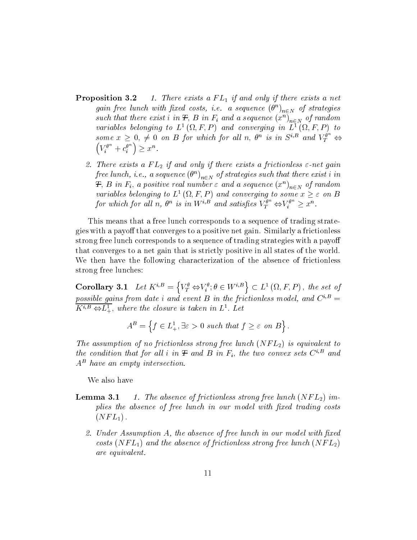- **Proposition 3.2** 1. There exists a  $FL_1$  if and only if there exists a net gain free tunch with fixed costs, i.e. a sequence  $(\sigma^{\scriptscriptstyle\vee})_{n\in N}$  of strategies such that there exist  $i$  in  $\boldsymbol{\tau},$   $\boldsymbol{D}$  in  $\boldsymbol{\tau}_i$  and a sequence  $(x^{\cdot})_{n\in N}$  of random variables belonging to  $L^-(M,F,F)$  and converging in  $L^-(M,F,F)$  to some  $x \geq 0, \neq 0$  on B for which for all n,  $\theta^n$  is in  $S^{i,D}$  and  $V^{\sigma^-}_T \Leftrightarrow$  $V_i^{\theta^n}+c_i^{\theta^n}\big)\geq x^n.$ 
	- 2. There exists a  $FL_2$  if and only if there exists a frictionless  $\varepsilon$ -net gain free tunch, r.e., a sequence  $(\theta^{..})_{n\in N}$  of strategies such that there exist i in  $\boldsymbol{\tau},$   $\boldsymbol{\varrho}$  in  $\boldsymbol{r}_i,$  a positive real number  $\varepsilon$  and a sequence  $(x^{\cdot\cdot})_{n\in N}$  of random variables belonging to  $L^+(M,F,F)$  and converging to some  $x \geq \varepsilon$  on  $D$ for which for all n,  $\theta^n$  is in  $W^{i,B}$  and satisfies  $V^{\theta^m}_T \Leftrightarrow V^{\theta^m}_i \geq x^n$ .

This means that a free lunch corresponds to a sequence of trading strategies with a payoff that converges to a positive net gain. Similarly a frictionless strong free lunch corresponds to a sequence of trading strategies with a payo that converges to a net gain that is strictly positive in all states of the world. We then have the following characterization of the absence of frictionless strong free lunches:

Corollary 3.1 Let  $K^{i,B} = \left\{ V_T^{\theta} \Leftrightarrow V_i^{\theta} ; \theta \in W^{i,B} \right\} \subset L^1(\Omega,F,P)$ , the set of possible gains from date i and event B in the frictionless model, and  $C^{i,B}$  =  $K^{n,2} \Leftrightarrow L^{\pm}_+,$  where the closure is taken in  $L^{\pm}$ . Let

$$
A^B = \left\{ f \in L^1_+, \exists \varepsilon > 0 \text{ such that } f \ge \varepsilon \text{ on } B \right\}.
$$

The assumption of no frictionless strong free lunch  $(NFL<sub>2</sub>)$  is equivalent to the condition that for all i in  $\mathcal F$  and  $B$  in  $F_i$ , the two convex sets  $C^{i,B}$  and A - nave an empty intersection.

We also have

- **Lemma 3.1** 1. The absence of frictionless strong free lunch  $(NFL<sub>2</sub>)$  implies the absence of free lunch in our model with fixed trading costs  $(NFL_1)$ .
	- 2. Under Assumption  $A$ , the absence of free lunch in our model with fixed costs  $(NFL_1)$  and the absence of frictionless strong free lunch  $(NFL_2)$ are equivalent.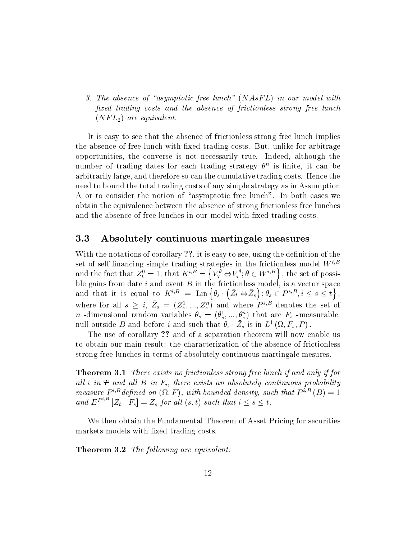3. The absence of "asymptotic free lunch"  $(NAsFL)$  in our model with fixed trading costs and the absence of frictionless strong free lunch  $(NFL_2)$  are equivalent.

It is easy to see that the absence of frictionless strong free lunch implies the absence of free lunch with fixed trading costs. But, unlike for arbitrage opportunities, the converse is not necessarily true. Indeed, although the number of trading dates for each trading strategy n is nite, it can be arbitrarily large, and therefore so can the cumulative trading costs. Hence the need to bound the total trading costs of any simple strategy as in Assumption A or to consider the notion of "asymptotic free lunch". In both cases we obtain the equivalence between the absence of strong frictionless free lunches and the absence of free lunches in our model with fixed trading costs.

### 3.3 Absolutely continuous martingale measures

With the notations of corollary ??, it is easy to see, using the definition of the set of self financing simple trading strategies in the frictionless model  $W^{i,B}$ and the fact that  $Z_t^0 = 1$ , that  $K^{i,B} = \left\{ V_T^{\theta} \Leftrightarrow V_i^{\theta} ; \theta \in W^{i,B} \right\}$ , the set of possible gains from date i and event B in the frictionless model, is a vector space and that it is equal to  $K^{i,B} = \text{Lin} \left\{ \theta_s \cdot (\bar{Z}_t \Leftrightarrow \bar{Z}_s) ; \theta_s \in P^{s,B}, i \leq s \leq t \right\},\$ where for all  $s \geq i$ ,  $Z_s = (Z_s, ..., Z_s)$  and where  $P^{*,-}$  denotes the set of  $n$  -dimensional random variables  $\sigma_s = (\sigma_s, ..., \sigma_s)$  that are  $r_s$  -measurable, null outside B and before t and such that  $\theta_s \cdot Z_s$  is in  $L^2(\Omega, F_s, F)$ .

The use of corollary ?? and of a separation theorem will now enable us to obtain our main result: the characterization of the absence of frictionless strong free lunches in terms of absolutely continuous martingale mesures.

**Theorem 3.1** There exists no frictionless strong free lunch if and only if for als let  $\alpha$  in T and all  $\alpha$  in Fig. and all l B in absolute and absolutely continuous probability  $\beta$ measure  $P$   $\degree$  aepined on  $\chi_{L, \Gamma}$  , with bounded density, such that  $P$   $\degree$   $\degree$  (D)  $\equiv$  1 and  $E^{P^{n,*}}|Z_t |F_s| = Z_s$  for all  $(s, t)$  such that  $i \leq s \leq t$ .

We then obtain the Fundamental Theorem of Asset Pricing for securities markets models with fixed trading costs.

**Theorem 3.2** The following are equivalent: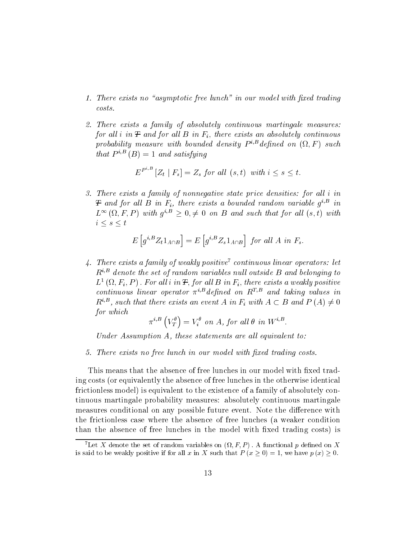- 1. There exists no "asymptotic free lunch" in our model with fixed trading  $costs.$
- 2. There exists a family of absolutely continuous martingale measures: for all i in  $F$  and for all  $B$  in  $F_i$ , there exists an absolutely continuous  $p$ rovavuuy measure wun vounaea aensuy  $P^{\gamma-}$  ae $\mu$ nea on  $(\Sigma, F$  ) such that  $P^{i,B}(B)=1$  and satisfying

$$
E^{P^{i,B}}\left[Z_t \mid F_s\right] = Z_s \text{ for all } (s,t) \text{ with } i \le s \le t.
$$

3. There exists a family of nonnegative state price densities: for all i in  $\bm{\tau}$  and for all  $\bm{\mathrm{D}}$  in  $\bm{\mathrm{r}}_i$ , there exists a bounded random variable  $g^{\vee}$  in  $L^{\infty}(\Omega, F, P)$  with  $q^{i,B} \geq 0, \neq 0$  on B and such that for all  $(s, t)$  with  $i \leq s \leq t$ 

$$
E\left[g^{i,B}Z_t 1_{A \cap B}\right] = E\left[g^{i,B}Z_s 1_{A \cap B}\right] \text{ for all } A \text{ in } F_s.
$$

4. There exists a family of weakly positive<sup>7</sup> continuous linear operators: let  $R^{i,B}$  denote the set of random variables null outside B and belonging to  $L^-(M;F_i,F)$  . For all  $i$  in  $\pm$ , for all  $B$  in  $F_i$ , there exists a weakly positive continuous linear operator  $\pi^{i,B}$  defined on  $R^{T,B}$  and taking values in  $R^{i,B}$ , such that there exists an event A in  $F_i$  with  $A\subset B$  and  $P(A)\neq 0$ for which

$$
\pi^{i,B}\left(V_T^{\theta}\right) = V_i^{\theta} \ \ on \ A, \ for \ all \ \theta \ \ in \ W^{i,B}.
$$

Under Assumption A, these statements are all equivalent to:

5. There exists no free lunch in our model with fixed trading costs.

This means that the absence of free lunches in our model with fixed trading costs (or equivalently the absence of free lunches in the otherwise identical frictionless model) is equivalent to the existence of a family of absolutely continuous martingale probability measures: absolutely continuous martingale measures conditional on any possible future event. Note the difference with the frictionless case where the absence of free lunches (a weaker condition than the absence of free lunches in the model with fixed trading costs) is

Let  $\Lambda$  defible the set of random variables on  $(M, F, F)$ . A functional  $p$  defined on  $\Lambda$ is said to be weakly positive if for all x in X such that  $P(x \ge 0) = 1$ , we have  $p(x) \ge 0$ .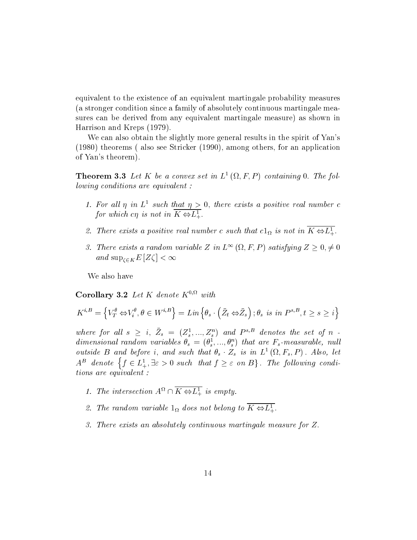equivalent to the existence of an equivalent martingale probability measures (a stronger condition since a family of absolutely continuous martingale measures can be derived from any equivalent martingale measure) as shown in Harrison and Kreps (1979).

We can also obtain the slightly more general results in the spirit of Yan's (1980) theorems ( also see Stricker (1990), among others, for an application of Yan's theorem).

**Theorem 3.3** Let  $\Lambda$  be a convex set in  $L^2(\Omega, \Gamma, \Gamma)$  containing 0. The following conditions are equivalent :

- 1. For all  $\eta$  in L such that  $\eta > 0$ , there exists a positive real number c for which cy is not in  $\mathbf{A} \Leftrightarrow L_{+}^{-}$ .
- z. There exists a positive real number c such that  $c_{1\Omega}$  is not in  $\Lambda \Leftrightarrow L_+^{\perp}$ .
- 3. There exists a random variable Z in  $L^{\infty}(\Omega, F, P)$  satisfying  $Z \geq 0, \neq 0$ and  $\sup_{\zeta \in K} E[Z\zeta] < \infty$

We also have

Corollary  $3.2$  Let K denote K<sup>-37</sup> with

$$
K^{i,B} = \left\{ V_T^{\theta} \Leftrightarrow V_i^{\theta}, \theta \in W^{i,B} \right\} = Lin\left\{ \theta_s \cdot \left( \bar{Z}_t \Leftrightarrow \bar{Z}_s \right); \theta_s \text{ is in } P^{s,B}, t \ge s \ge i \right\}
$$

where for all  $s \geq i, Z_s = (Z_s^s, ..., Z_s^s)$  and  $P^{s,z}$  denotes the set of n aimensional random variables  $\theta_s = (\theta_s^*, ..., \theta_s^*)$  that are  $\mathbf{r}_s$ -measurable, null *outside*  $D$  and before i, and such that  $\sigma_s \cdot \Sigma_s$  is in  $L^-(M, \Gamma_s, \Gamma)$ . Also, let  $A^B$  denote  $\{f \in L_+^1, \exists \varepsilon > 0 \text{ such that } f \geq \varepsilon \text{ on } B\}$ . The following conditions are equivalent :

- 1. The intersection  $A^{**} \sqcup \Lambda \Leftrightarrow L_+^+$  is empty.
- z. The random variable  $1_{\Omega}$  does not belong to  $\Lambda \Leftrightarrow L_+^{\pm}$ .
- 3. There exists an absolutely continuous martingale measure for Z: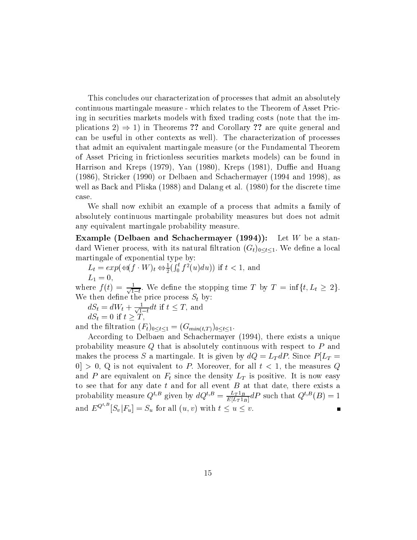This concludes our characterization of processes that admit an absolutely continuous martingale measure - which relates to the Theorem of Asset Pricing in securities markets models with fixed trading costs (note that the implications  $2 \Rightarrow 1$ ) in Theorems ?? and Corollary ?? are quite general and can be useful in other contexts as well). The characterization of processes that admit an equivalent martingale measure (or the Fundamental Theorem of Asset Pricing in frictionless securities markets models) can be found in Harrison and Kreps  $(1979)$ , Yan  $(1980)$ , Kreps  $(1981)$ , Duffie and Huang (1986), Stricker (1990) or Delbaen and Schachermayer (1994 and 1998), as well as Back and Pliska (1988) and Dalang et al. (1980) for the discrete time case.

We shall now exhibit an example of a process that admits a family of absolutely continuous martingale probability measures but does not admit any equivalent martingale probability measure.

**Example (Delbaen and Schachermayer (1994)):** Let W be a standard Wiener process, with its natural filtration  $(G_t)_{0 \le t \le 1}$ . We define a local martingale of exponential type by:

 $L_t = exp(\Leftrightarrow (f \cdot W)_t \Leftrightarrow \frac{1}{2} (\int_0^t f^2(u) du))$  if  $t < 1$ , and  $L_1 = 0,$ 

where  $f(t) = \frac{1}{\sqrt{1-t}}$ , we define the stopping time T by  $T = \inf\{t, L_t \geq 2\}$ . We then define the price process  $S_t$  by:

$$
dS_t = dW_t + \frac{1}{\sqrt{1-t}} dt
$$
 if  $t \leq T$ , and  

$$
dS_t = 0
$$
 if  $t \geq T$ ,

and the filtration  $(F_t)_{0 \le t \le 1} = (G_{min(t,T)})_{0 \le t \le 1}$ .

According to Delbaen and Schachermayer (1994), there exists a unique probability measure Q that is absolutely continuous with respect to P and makes the process S a martingale. It is given by  $dQ = L_T dP$ . Since  $P[L_T =$  $[0] > 0$ , Q is not equivalent to P. Moreover, for all  $t < 1$ , the measures Q and P are equivalent on  $F_t$  since the density  $L_T$  is positive. It is now easy to see that for any date that for any date that for any date that date that date, there exists a that date, th probability measure  $Q^{s,z}$  given by  $dQ^{s,z} = \frac{E[L_T 1_B]}{E[L_T 1_B]} dP$  such that  $Q^{s,z}(B)=1$ and  $E^{Q^{t,B}}[S_v|F_u] = S_u$  for all  $(u, v)$  with  $t \le u \le v$ .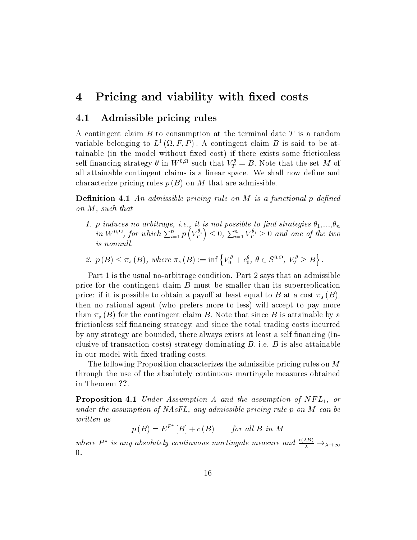### 4 Pricing and viability with fixed costs

### 4.1 Admissible pricing rules

A contingent claim  $B$  to consumption at the terminal date  $T$  is a random variable belonging to  $L^-(M, r, F)$ . A contingent claim  $D$  is said to be attainable (in the model without fixed cost) if there exists some frictionless self inhancing strategy  $\sigma$  in W  $\cdots$  such that  $V_T = D$ . Note that the set M of all attainable contingent claims is a linear space. We shall now define and characterize pricing rules  $p(B)$  on M that are admissible.

**Definition 4.1** An admissible pricing rule on  $M$  is a functional p defined on M, such that

- 1. <sup>p</sup> induces no arbitrage, i.e., it is not possible to nd strategies 1,...,n in  $W^{0,\Omega}$ , for which  $\sum_{i=1}^n p(V_T^{\theta_i}) \leq 0$ ,  $\sum_{i=1}^n V_T^{\theta_i} \geq 0$  and one of the two is nonnull.
- 2.  $p(B) \leq \pi_s(B)$ , where  $\pi_s(B) := \inf \left\{ V_0^{\theta} + c_0^{\theta}, \ \theta \in S^{0,\Omega}, \ V_T^{\theta} \geq B \right\}$ .

Part 1 is the usual no-arbitrage condition. Part 2 says that an admissible price for the contingent claim  $B$  must be smaller than its superreplication price: if it is possible to obtain a payoff at least equal to B at a cost  $\pi_s (B)$ , then no rational agent (who prefers more to less) will accept to pay more than  $\pi_s$  (B) for the contingent claim B. Note that since B is attainable by a frictionless self nancing strategy, and since the total trading costs incurred by any strategy are bounded, there always exists at least a self financing (inclusive of transaction costs) strategy dominating  $B$ , i.e.  $B$  is also attainable in our model with fixed trading costs.

The following Proposition characterizes the admissible pricing rules on M through the use of the absolutely continuous martingale measures obtained in Theorem ??.

**Proposition 4.1** Under Assumption A and the assumption of  $NFL_1$ , or under the assumption of NAsFL, any admissible pricing rule p on M can be written as

 $p(B) = E^{P^*}[B] + c(B)$  for all B in M  $\mathbf{B} = \mathbf{B} \mathbf{B} + \mathbf{B} \mathbf{B}$  for all  $\mathbf{B} = \mathbf{B} \mathbf{B}$  in  $\mathbf{B} = \mathbf{B} \mathbf{B}$ 

where  $P^*$  is any absolutely continuous martingale measure and  $\frac{c(\Delta B)}{\lambda} \rightarrow_{\lambda \rightarrow \infty}$  $\theta$ .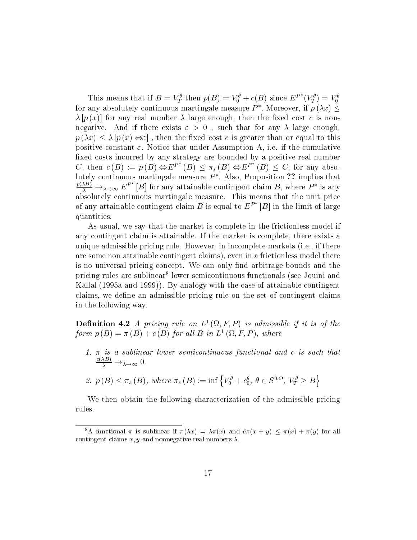This means that if  $B = V_T^{\sigma}$  then  $p(B) = V_0^{\sigma} + c(B)$  since  $E^P$   $(V_T^{\sigma}) = V_0^{\sigma}$ for any absolutely continuous martingale measure  $P^*$ . Moreover, if  $p(\lambda x)$  $\lambda[p(x)]$  for any real number  $\lambda$  large enough, then the fixed cost c is nonnegative. And if there exists  $\varepsilon > 0$ , such that for any  $\lambda$  large enough,  $p(\lambda x) \leq \lambda [p(x) \Leftrightarrow \varepsilon]$ , then the fixed cost c is greater than or equal to this positive constant  $\varepsilon$ . Notice that under Assumption A, i.e. if the cumulative fixed costs incurred by any strategy are bounded by a positive real number C, then  $c(B) := p(B) \Leftrightarrow E^{P^*}(B) \leq \pi_s(B) \Leftrightarrow E^{P^*}(B) \leq C$ , for any absolutely continuous martingale measure  $P^*$ . Also, Proposition ?? implies that  $\frac{p(\Delta B)}{\lambda} \rightarrow_{\lambda \rightarrow \infty} E^{P^*}[B]$  for any attainable contingent claim B, where  $P^*$  is any absolutely continuous matrix matrix matrix matrix matrix  $\mathbf{r}$ of any attainable contingent claim B is equal to  $E^F$  |B| in the limit of large quantities.

As usual, we say that the market is complete in the frictionless model if any contingent claim is attainable. If the market is complete, there exists a unique admissible pricing rule. However, in incomplete markets (i.e., if there are some non attainable contingent claims), even in a frictionless model there is no universal pricing concept. We can only find arbitrage bounds and the pricing rules are sublinear tower semicontinuous functionals (see Jouini and Kallal (1995a and 1999)). By analogy with the case of attainable contingent claims, we define an admissible pricing rule on the set of contingent claims in the following way.

**Definition 4.2** A pricing rate on L (M, F, P) is admissible if it is of the form  $p(B) = \pi(B) + c(B)$  for all  $B$  in  $L^1(M, F, F)$ , where

1.  $\pi$  is a sublinear lower semicontinuous functional and c is such that  $\frac{1}{\lambda} \rightarrow \lambda \rightarrow \infty$  U.

2. 
$$
p(B) \leq \pi_s(B)
$$
, where  $\pi_s(B) := \inf \left\{ V_0^{\theta} + c_0^{\theta}, \theta \in S^{0,\Omega}, V_T^{\theta} \geq B \right\}$ 

We then obtain the following characterization of the admissible pricing rules.

<sup>&</sup>lt;sup>8</sup>A functional  $\pi$  is sublinear if  $\pi(\lambda x) = \lambda \pi(x)$  and  $\hat{e}\pi(x + y) \leq \pi(x) + \pi(y)$  for all contingent claims  $x, y$  and nonnegative real numbers  $\lambda$ .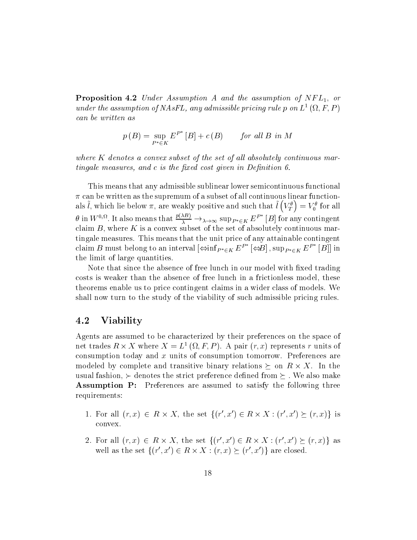**Proposition 4.2** Under Assumption A and the assumption of  $NFL_1$ , or under the assumption of  $NASTL$ , any admissible pricing rule p on  $L^-(M, F, F)$ can be written as

$$
p(B) = \sup_{P^* \in K} E^{P^*}[B] + c(B) \qquad \text{for all } B \text{ in } M
$$

where  $K$  denotes a convex subset of the set of all absolutely continuous martingale measures, and  $c$  is the fixed cost given in Definition 6.

This means that any admissible sublinear lower semicontinuous functional  $\pi$  can be written as the supremum of a subset of all continuous linear functionals  $\tilde{l}$ , which lie below  $\pi$ , are weakly positive and such that  $\tilde{l}\left(V_T^\theta\right)=V_0^\theta$  for all  $\theta$  in  $W^{0,12}$ . It also means that  $\frac{P(N)}{\lambda} \to_{\lambda \to \infty} \sup_{P^* \in K} E^P$  [B] for any contingent claim  $B$ , where  $K$  is a convex subset of the set of absolutely continuous martingale measures. This means that the unit price of any attainable contingent claim B must belong to an interval  $\iff$   $F^E \notin E^F$   $\iff$   $\iff$   $F^E \notin E^F$   $[B]]$  in the limit of large quantities.

Note that since the absence of free lunch in our model with fixed trading costs is weaker than the absence of free lunch in a frictionless model, these theorems enable us to price contingent claims in a wider class of models. We shall now turn to the study of the viability of such admissible pricing rules.

### 4.2 Viability

Agents are assumed to be characterized by their preferences on the space of net trades  $R \times A$  where  $A = L^-(M, r, F)$ . A pair  $(r, x)$  represents r units of consumption today and  $x$  units of consumption tomorrow. Preferences are modeled by complete and transitive binary relations  $\succeq$  on  $R \times A$ . In the usual fashion,  $\succ$  denotes the strict preference defined from  $\succeq$  . We also make Assumption P: Preferences are assumed to satisfy the following three requirements:

- 1. For all  $(r, x) \in R \times X$ , the set  $\{(r', x') \in R \times X : (r', x') \succ (r, x)\}\$ is convex.
- 2. For all  $(r, x) \in R \times X$ , the set  $\{(r', x') \in R \times X : (r', x') \succ (r, x)\}\)$  as well as the set  $\{(r', x') \in R \times X : (r, x) \succ (r', x')\}$  are closed.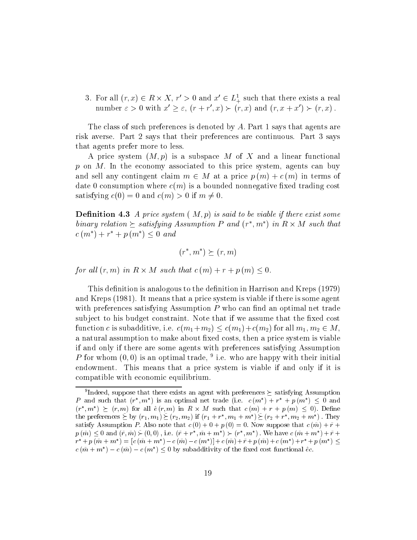3. For all  $(r, x) \in R \times X$ ,  $r' > 0$  and  $x' \in L^1_+$  such that there exists a real number  $\varepsilon > 0$  with  $x' > \varepsilon$ ,  $(r + r', x) > (r, x)$  and  $(r, x + x') > (r, x)$ .

The class of such preferences is denoted by A: Part 1 says that agents are risk averse. Part 2 says that their preferences are continuous. Part 3 says that agents prefer more to less.

A price system  $(M, p)$  is a subspace M of X and a linear functional  $p$  on  $M$ . In the economy associated to this price system, agents can buy and sell any contingent claim  $m \in M$  at a price  $p(m) + c(m)$  in terms of date 0 consumption where  $c(m)$  is a bounded nonnegative fixed trading cost satisfying  $c(0) = 0$  and  $c(m) > 0$  if  $m \neq 0$ .

**Definition 4.3** A price system  $(M, p)$  is said to be viable if there exist some binary relation  $\triangleright$  satisfying Assumption P and  $(r^*, m^*)$  in  $R \times M$  such that  $c(m^*) + r^* + p(m^*) \leq 0$  and

$$
(r^*, m^*) \succeq (r, m)
$$

for all  $(r, m)$  in  $K \times M$  such that  $c(m) + r + p(m) \leq 0$ .

This definition is analogous to the definition in Harrison and Kreps (1979) and Kreps (1981). It means that a price system is viable if there is some agent with preferences satisfying Assumption  $P$  who can find an optimal net trade subject to his budget constraint. Note that if we assume that the fixed cost function c is subadditive, i.e.  $c(m_1+m_2) \leq c(m_1)+c(m_2)$  for all  $m_1, m_2 \in M$ , a natural assumption to make about fixed costs, then a price system is viable if and only if there are some agents with preferences satisfying Assumption  $P$  for whom (0,0) is an optimal trade, – i.e. who are happy with their initial  $\blacksquare$ endowment. This means that a price system is viable if and only if it is compatible with economic equilibrium.

Tindeed, suppose that there exists an agent with preferences  $\tau$  satisfying Assumption r and such that  $(r, m)$  is an optimal net trade (i.e.  $c(m) + r + p(m) \leq 0$  and  $(r, m) \in (r, m)$  for all  $e(r, m)$  in  $R \times m$  such that  $c(m) + r + p(m) \leq 0$ . Define the preferences  $\leq$  by  $(r_1, m_1) \leq (r_2, m_2)$  if  $(r_1 + r_1, m_1 + m_2) \leq (r_2 + r_1, m_2 + m_2)$ . They satisfy Assumption P. Also note that  $c(0) + 0 + p(0) = 0$ . Now suppose that  $c(\tilde{m}) + \tilde{r} +$  $p \ (m) \leq 0$  and  $(r, m) \succ (0, 0)$ , i.e.  $(r + r, m + m) \succ (r, m)$ . We have  $c \ (m + m) + r + m$  $r + p(m + m) = c(m + m) - c(m) - c(m) + c(m) + r + p(m) + c(m) + r + p(m)$  $c$  (*m* + *m* ) =  $c$  (*m*) =  $c$  (*m* )  $\sim$  0 by subadditivity of the fixed cost functional ec.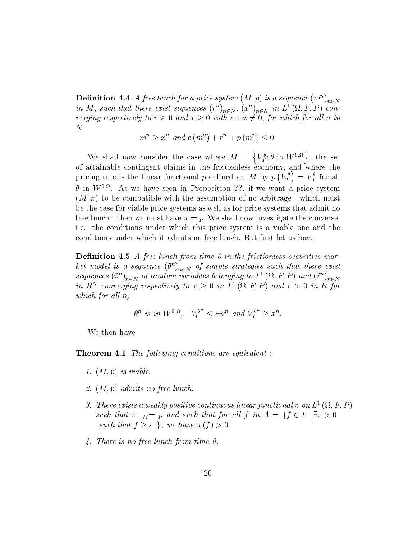**Demition 4.4** A free tunch for a price system  $(M, p)$  is a sequence  $(m^{\alpha})_{n \in N}$ in M, such that there exist sequences  $(r^{\mu})_{n\in N}$ ,  $(x^{\mu})_{n\in N}$  in L<sup>-</sup> (M, F, F) converging respectively to  $r \geq 0$  and  $x \geq 0$  with  $r + x \neq 0$ , for which for all n in

$$
m^{n} \geq x^{n} \text{ and } c(m^{n}) + r^{n} + p(m^{n}) \leq 0.
$$

We shall now consider the case where  $M = \{V_T^{\theta}$ ;  $\theta$  in  $W^{0,\Omega}\}\,$ , the set of attainable contingent claims in the frictionless economy, and where the pricing rule is the linear functional p defined on M by  $p(V_T^{\theta}) = V_0^{\theta}$  for all  $\sigma$  in  $W$   $^{\circ}$ . As we have seen in Proposition  $\sharp\sharp,$  if we want a price system  $(M, \pi)$  to be compatible with the assumption of no arbitrage - which must be the case for viable price systems as well as for price systems that admit no free lunch - then we must have  $\pi = p$ . We shall now investigate the converse, i.e. the conditions under which this price system is a viable one and the conditions under which it admits no free lunch. But first let us have:

**Definition 4.5** A free lunch from time 0 in the frictionless securities market model is a sequence  $\left(\sigma^{\circ}\right)_{n\in N}$  of simple strategies such that there exist sequences  $(x)_{n\in N}$  of random variables belonging to L  $(x, r, r)$  and  $(r)_{n\in N}$ in  $R^+$  converging respectively to  $x > 0$  in  $L^+(M,F,F)$  and  $r > 0$  in  $R$  for which for all  $n$ ,  $\widetilde{C}_0^{\theta^n} \leq \Leftrightarrow \widetilde{r}^n$  and  $V_T^{\theta^n} \geq$ 

$$
\theta^n
$$
 is in  $W^{0,\Omega}$ ,  $V_0^{\theta^n} \leq \Leftrightarrow^{\pi^n}$  and  $V_T^{\theta^n} \geq \tilde{x}^n$ .

We then have

**Theorem 4.1** The following conditions are equivalent :

- 1.  $(M, p)$  is viable.
- 2.  $(M, p)$  admits no free lunch.
- 3. There exists a weakly positive continuous linear functional  $\pi$  on  $L^-(M,F,F)$ such that  $\pi$   $_M = p$  and such that for all f in  $A = \{f \in L^{\pi}, \exists \varepsilon > 0\}$ such that  $f \geq \varepsilon$ , we have  $\pi(f) > 0$ .
- 4. There is no free lunch from time 0.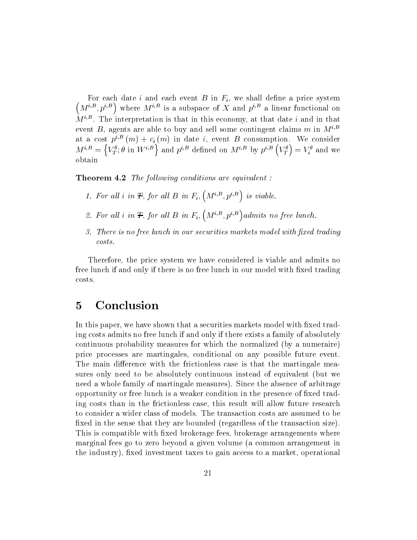$(M^{i,B}, p^{i,B})$  where  $M^{i,B}$  is a subspace of X and  $p^{i,B}$  a linear functional on  $M$   $^{\circ}$  . The interpretation is that in this economy, at that date  $i$  and in that event B, agents are able to buy and sell some contingent claims m in  $M^{i,B}$ at a cost  $p^{i,B}(m) + c_i(m)$  in date i, event B consumption. We consider  $M^{i,B} = \left\{V^{\theta}_{T}; \theta \text{ in } W^{i,B}\right\}$  and  $p^{i,B}$  defined on  $M^{i,B}$  by  $p^{i,B}$   $\left(V^{\theta}_{T}\right) = V^{\theta}_{i}$  and we

**Theorem 4.2** The following conditions are equivalent :

- 1. For all i in  $\mathcal{F}$ , for all  $B$  in  $F_i$ ,  $\left(M^{i,B}, p^{i,B}\right)$  is viable.
- 2. For all i in  $\mathcal{F}$ , for all B in  $F_i$ ,  $\left(M^{i,B}, p^{i,B}\right)$  admits no free lunch.
- 3. There is no free lunch in our securities markets model with fixed trading  $costs.$

Therefore, the price system we have considered is viable and admits no free lunch if and only if there is no free lunch in our model with fixed trading costs.

# 5 Conclusion

In this paper, we have shown that a securities markets model with fixed trading costs admits no free lunch if and only if there exists a family of absolutely continuous probability measures for which the normalized (by a numeraire) price processes are martingales, conditional on any possible future event. The main difference with the frictionless case is that the martingale measures only need to be absolutely continuous instead of equivalent (but we need a whole family of martingale measures). Since the absence of arbitrage opportunity or free lunch is a weaker condition in the presence of fixed trading costs than in the frictionless case, this result will allow future research to consider a wider class of models. The transaction costs are assumed to be fixed in the sense that they are bounded (regardless of the transaction size). This is compatible with fixed brokerage fees, brokerage arrangements where marginal fees go to zero beyond a given volume (a common arrangement in the industry), fixed investment taxes to gain access to a market, operational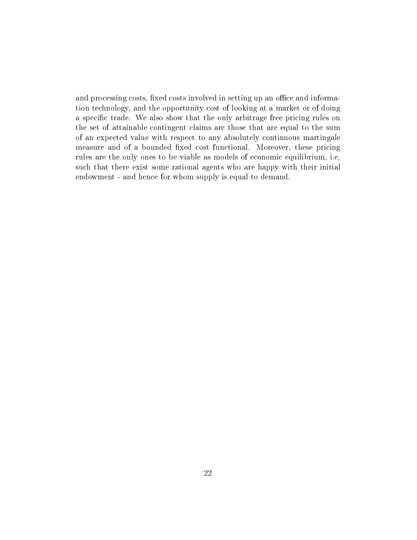and processing costs, fixed costs involved in setting up an office and information technology, and the opportunity cost of looking at a market or of doing a specific trade. We also show that the only arbitrage free pricing rules on the set of attainable contingent claims are those that are equal to the sum of an expected value with respect to any absolutely continuous martingale measure and of a bounded fixed cost functional. Moreover, these pricing rules are the only ones to be viable as models of economic equilibrium, i.e. such that there exist some rational agents who are happy with their initial endowment - and hence for whom supply is equal to demand.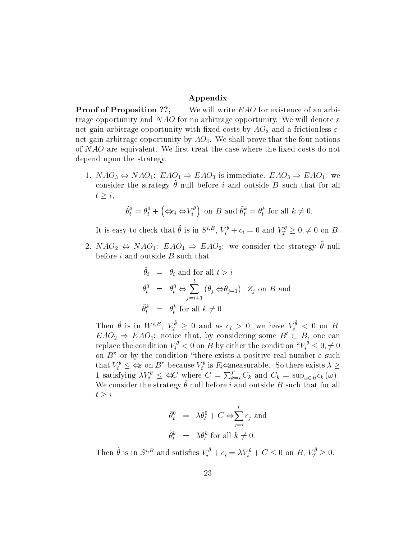#### Appendix

**Proof of Proposition ??,** We will write EAO for existence of an arbitrage opportunity and NAO for no arbitrage opportunity. We will denote a net gain arbitrage opportunity with fixed costs by  $AO_3$  and a frictionless  $\varepsilon$ net gain arbitrage opportunity by  $AO<sub>4</sub>$ . We shall prove that the four notions of  $NAO$  are equivalent. We first treat the case where the fixed costs do not depend upon the strategy.

1.  $NAO_3 \Leftrightarrow NAO_1$ :  $EAO_1 \Rightarrow EAO_3$  is immediate.  $EAO_3 \Rightarrow EAO_1$ : we consider the strategy  $\nu$  null before  $\iota$  and outside  $D$  such that for all  $t \geq i$ ,

$$
\tilde{\theta}_t^0 = \theta_t^0 + \left(\Leftrightarrow c_i \Leftrightarrow V_i^{\theta}\right) \text{ on } B \text{ and } \tilde{\theta}_t^k = \theta_t^k \text{ for all } k \neq 0.
$$

It is easy to check that  $\theta$  is in  $S^{i,B}$ ,  $V_i^{\nu} + c_i = 0$  and  $V_T^{\nu} \geq 0, \neq 0$  on B.

2. NAO<sub>2</sub>  $\Leftrightarrow$  NAO<sub>1</sub>: EAO<sub>1</sub>  $\Rightarrow$  EAO<sub>2</sub>: we consider the strategy  $\theta$  null before  $i$  and outside  $B$  such that

$$
\tilde{\theta}_i = \theta_i \text{ and for all } t > i
$$
  
\n
$$
\tilde{\theta}_t^0 = \theta_t^0 \Leftrightarrow \sum_{j=i+1}^t (\theta_j \Leftrightarrow \theta_{j-1}) \cdot Z_j \text{ on } B \text{ and}
$$
  
\n
$$
\tilde{\theta}_t^k = \theta_t^k \text{ for all } k \neq 0.
$$

Then  $\theta$  is in  $W^{i,\mathcal{D}}, V^{\mathcal{D}}_T \geq 0$  and as  $c_i > 0$ , we have  $V^{\mathcal{D}}_i < 0$  on  $EAO<sub>2</sub> \Rightarrow EAO<sub>1</sub>$ : notice that, by considering some  $B' \subset B$ , one can replace the condition  $V_i^+ \leq 0$  on B by either the condition  $\|V_i^+\leq 0,\neq 0$ on  $B$ " or by the condition "there exists a positive real number  $\varepsilon$  such replace the condition  $V_i^{\theta} < 0$  on  $B$  by either the condition " $V_i^{\theta} \leq 0, \neq 0$ <br>on  $B$ " or by the condition "there exists a positive real number  $\varepsilon$  such<br>that  $V_i^{\theta} \leq \Leftrightarrow$  on  $B$ " because  $V_i^{\theta}$  is  $F_i \Leftrightarrow$ 1 satisfying  $\lambda V_i^{\nu} \leq \Leftrightarrow C$  where  $C = \sum_{k=i}^{I} C_k$  and  $C_k = \sup_{\omega \in B} c_k(\omega)$ . We consider the strategy  $\nu$  null before  $\iota$  and outside  $D$  such that for all  $t \geq i$ 

$$
\begin{aligned}\n\tilde{\theta}_t^0 &= \lambda \theta_t^0 + C \Leftrightarrow \sum_{j=i}^t c_j \text{ and} \\
\tilde{\theta}_t^k &= \lambda \theta_t^k \text{ for all } k \neq 0.\n\end{aligned}
$$

Then  $\theta$  is in  $S^{\epsilon,\beta}$  and satisfies  $V_i^{\epsilon} + c_i = \lambda V_i^{\epsilon} + C \leq 0$  on  $B, V_T^{\epsilon} \geq 0$ .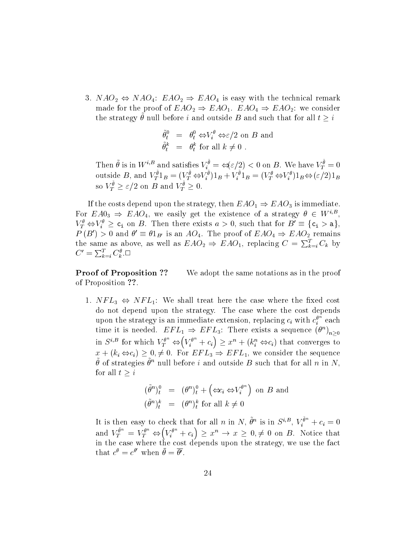3.  $NAO_2 \Leftrightarrow NAO_4$ :  $EAO_2 \Rightarrow EAO_4$  is easy with the technical remark made for the proof of  $EAO_2 \Rightarrow EAO_1$ .  $EAO_4 \Rightarrow EAO_2$ : we consider the strategy  $\theta$  null before i and outside B and such that for all  $t \geq t$ 

$$
\begin{array}{rcl}\n\tilde{\theta}_t^0 & = & \theta_t^0 \Leftrightarrow V_t^\theta \Leftrightarrow \varepsilon/2 \text{ on } B \text{ and} \\
\tilde{\theta}_t^k & = & \theta_t^k \text{ for all } k \neq 0 \n\end{array}
$$

Then  $\theta$  is in  $W^{i,\rho}$  and satisfies  $V_i^{\nu} = \Leftrightarrow (\varepsilon/2) < 0$  on B. We have  $V_T^{\nu} = 0$ outside B, and  $V_T^r 1_B = (V_T^r \Leftrightarrow V_i^v) 1_B + V_i^v 1_B = (V_T^r \Leftrightarrow V_i^v) 1_B \Leftrightarrow (\varepsilon/2) 1_B$ so  $V_T^{\nu} \geq \varepsilon/2$  on B and  $V_T^{\nu} \geq 0$ .

If the costs depend upon the strategy, then  $EAO_1 \Rightarrow EAO_3$  is immediate. For  $EA0_3 \Rightarrow EAO_4$ , we easily get the existence of a strategy  $\theta \in W^{i,B}$ ,  $V_T^{\theta} \Leftrightarrow V_i^{\theta} \geq c_i$  on B. Then there exists  $a > 0$ , such that for  $B' \equiv \{c_i > a\}$ ,  $P(B') > 0$  and  $\theta' \equiv \theta 1_{B'}$  is an  $AO_4$ . The proof of  $EAO_4 \Rightarrow EAO_2$  remains the same as above, as well as  $EAO_2 \Rightarrow EAO_1$ , replacing  $C = \sum_{k=i}^{I} C_k$  by  $C' = \sum_{k=i}^{T} C_k^{\theta}$ .

**Proof of Proposition ??** We adopt the same notations as in the proof of Proposition ??.

1.  $NFL_3 \Leftrightarrow NFL_1$ : We shall treat here the case where the fixed cost do not depend upon the strategy. The case where the cost depends upon the strategy is an immediate extension, replacing  $c_i$  with  $c_i^v$  each time it is needed.  $EFL_1 \Rightarrow EFL_3$ : There exists a sequence  $(\theta^{\alpha})_{n\geq 0}$ in  $S^{i,B}$  for which  $V_T^{\theta^n} \Leftrightarrow (V_i^{\theta^n} + c_i) \geq x^n + (k_i^n \Leftrightarrow c_i)$  that converges to  $x + (k_i \Leftrightarrow c_i) \geq 0, \neq 0$ . For  $EFL_3 \Rightarrow EFL_1$ , we consider the sequence  $\sigma$  of strategies  $\sigma^+$  null before  $i$  and outside  $D$  such that for all  $n$  in  $N$ , for all  $t \geq i$ 

$$
(\tilde{\theta}^n)_t^0 = (\theta^n)_t^0 + (\Leftrightarrow_{i} \Leftrightarrow V_i^{\theta^n}) \text{ on } B \text{ and}
$$
  

$$
(\tilde{\theta}^n)_t^k = (\theta^n)_t^k \text{ for all } k \neq 0
$$

It is then easy to check that for all n in N,  $\theta^n$  is in  $S^{i, p}$ ,  $V_i^{\sigma} + c_i = 0$ and  $V^{\tilde{\theta}^n}_T = V^{\theta^n}_T \Leftrightarrow (V^{\theta^n}_i + c_i) \geq x^n \to x \geq 0, \neq 0$  on B. Notice that in the case where the cost depends upon the strategy, we use the fact depends upon the strategy, we use the fact of  $\mathbb{R}^n$ that  $c^{\theta} = c^{\theta}$  when  $\theta = \theta'$ .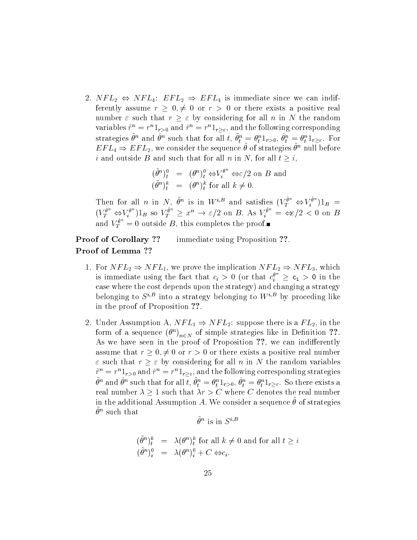2.  $NFL_2 \Leftrightarrow NFL_4$ :  $EFL_2 \Rightarrow EFL_4$  is immediate since we can indifferently assume  $r \geq 0, \neq 0$  or  $r > 0$  or there exists a positive real number  $\varepsilon$  such that  $r \geq \varepsilon$  by considering for all n in N the random variables  $r = r$   $1_{r>0}$  and  $r = r$   $1_{r\geq \varepsilon}$ , and the following corresponding strategies  $\sigma^{\alpha}$  and  $\sigma^{\alpha}$  such that for all  $i, \sigma^{\alpha}_{t} = \sigma^{\alpha}_{t-1}$ ,  $\sigma^{\alpha}_{t} = \sigma^{\alpha}_{t-1}$ ,  $\sigma^{\alpha}_{t-1}$ ,  $\sigma^{\alpha}_{t-1}$  $\iota$   $\iota$   $\iota$   $\iota$   $\iota$   $\iota$   $\iota$   $\iota$  $E \, \mu \, L_4 \Rightarrow E \, \mu \, L_2$ , we consider the sequence  $\theta$  of strategies  $\theta^+$  null before i and outside B and such that for all n in N, for all  $t \geq i$ ,

$$
\begin{array}{rcl}\n(\tilde{\theta}^n)_t^0 & = & (\theta^n)_t^0 \Leftrightarrow V_t^{\theta^n} \Leftrightarrow \varepsilon/2 \text{ on } B \text{ and} \\
(\tilde{\theta}^n)_t^k & = & (\theta^n)_t^k \text{ for all } k \neq 0.\n\end{array}
$$

Then for all n in N,  $\theta^n$  is in  $W^{i,B}$  and satisfies  $(V_T^{\sigma^-} \Leftrightarrow V_t^{\sigma^-})1_B =$  $(V_T^{\sigma^-} \Leftrightarrow V_l^{\sigma^-})1_B$  so  $V_T^{\sigma^-} \geq x^n \rightarrow \varepsilon/2$  on B. As  $V_l^{\sigma^-} = \Leftrightarrow/2 < 0$  on B and  $V_T^{\sigma^-}=0$  outside B, this completes the proof.

Proof of Corollary ?? immediate using Proposition ??. Proof of Lemma ??

- 1. For  $NFL_2 \Rightarrow NFL_1$ , we prove the implication  $NFL_2 \Rightarrow NFL_3$ , which is immediate using the fact that  $c_i > 0$  (or that  $c_i^v \geq c_i > 0$  in the case where the cost depends upon the strategy) and changing a strategy belonging to  $S^{i,B}$  into a strategy belonging to  $W^{i,B}$  by proceding like in the proof of Proposition ??.
- 2. Under Assumption A,  $NFL_1 \Rightarrow NFL_2$ : suppose there is a  $FL_2$ , in the form of a sequence ( $\sigma$  )<sub> $n \in N$ </sub> of simple strategies like in Definition  $\{\,\,\,\ldots\,\,\,\}$ As we have seen in the proof of Proposition ??, we can indifferently assume that  $r \geq 0, \neq 0$  or  $r > 0$  or there exists a positive real number  $\varepsilon$  such that  $r \geq \varepsilon$  by considering for all n in N the random variables  $r^* = r^*\mathbf{1}_{r>0}$  and  $r^* = r^*\mathbf{1}_{r\geq \varepsilon}$ , and the following corresponding strategies  $\sigma$  and  $\sigma$  such that for all  $\iota$ ,  $\sigma_t = \sigma_t$   $1_{r>0}$ ,  $\sigma_t = \sigma_t$   $1_{r>\varepsilon}$ . So there exists a real number  $\lambda \geq 1$  such that  $\lambda r > C$  where C denotes the real number in the additional Assumption  $A$ . We consider a sequence  $\sigma$  or strategies  $\sigma$  such that

$$
\tilde{\theta}^n \text{ is in } S^{i,B}
$$

$$
(\tilde{\theta}^n)_t^k = \lambda(\theta^n)_t^k \text{ for all } k \neq 0 \text{ and for all } t \geq i
$$
  

$$
(\tilde{\theta}^n)_i^0 = \lambda(\theta^n)_i^0 + C \Leftrightarrow c_i.
$$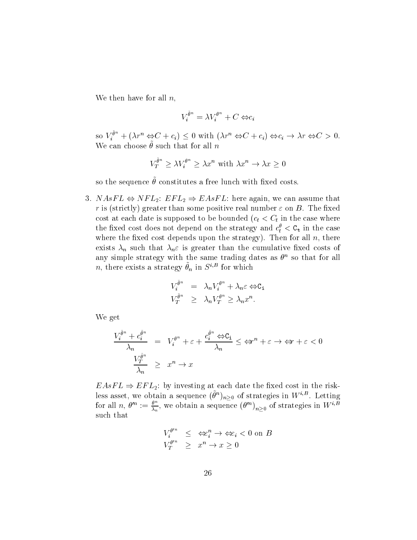We then have for all  $n$ ,

$$
V_i^{\tilde{\theta}^n} = \lambda V_i^{\theta^n} + C \Leftrightarrow c_i
$$

so  $V_i^{n}$  +  $(\lambda r^n \Leftrightarrow C + c_i) \leq 0$  with  $(\lambda r^n \Leftrightarrow C + c_i) \Leftrightarrow c_i \rightarrow \lambda r \Leftrightarrow C > 0$ . We can choose  $\sigma$  such that for all  $\mu$ 

$$
V_T^{\tilde{\theta}^n} \ge \lambda V_i^{\theta^n} \ge \lambda x^n \text{ with } \lambda x^n \to \lambda x \ge 0
$$

so the sequence  $\nu$  constitutes a free funch with fixed costs.

3.  $NAsFL \Leftrightarrow NFL_2$ :  $EFL_2 \Rightarrow EAsFL$ : here again, we can assume that r is (strictly) greater than some positive real number  $\varepsilon$  on B. The fixed cost at each date is supposed to be bounded  $(c_t < C_t$  in the case where the fixed cost does not depend on the strategy and  $c_t <$   $\mathtt{c_t}$  in the case where the fixed cost depends upon the strategy). Then for all  $n$ , there exists  $\lambda_n$  such that  $\lambda_n \varepsilon$  is greater than the cumulative fixed costs of any simple strategy with the same trading dates as  $\sigma^+$  so that for all  $n$ , there exists a strategy  $\sigma_n$  in  $S$   $^{\circ}$  for which

$$
V_i^{\tilde{\theta}^n} = \lambda_n V_i^{\theta^n} + \lambda_n \varepsilon \Leftrightarrow c_i
$$
  

$$
V_T^{\tilde{\theta}^n} \ge \lambda_n V_T^{\theta^n} \ge \lambda_n x^n.
$$

We get

$$
\frac{V_i^{\tilde{\theta}^n} + c_i^{\tilde{\theta}^n}}{\lambda_n} = V_i^{\theta^n} + \varepsilon + \frac{c_i^{\tilde{\theta}^n} \Leftrightarrow C_i}{\lambda_n} \le \Leftrightarrow^{n} + \varepsilon \to \Leftrightarrow r + \varepsilon < 0
$$
\n
$$
\frac{V_T^{\tilde{\theta}^n}}{\lambda_n} \ge x^n \to x
$$

 $EAsFL \Rightarrow EFL_2$ : by investing at each date the fixed cost in the riskless asset, we obtain a sequence  $(\sigma^{\alpha})_{n\geq 0}$  of strategies in Wight. Letting for all  $n, \theta^n := \frac{\theta^n}{\lambda_n}$ , we obtain a sequence  $(\theta^n)_{n \geq 0}$  of strategies in  $W^{i,B}$ <br>such that  $V_i^{\theta^n} \leq \iff_i^n \to \iff_i < 0$  on  $B$ such that

$$
V_i^{\theta'^n} \leq \Leftrightarrow_i^n \to \Leftrightarrow_i < 0 \text{ on } B
$$
  

$$
V_T^{\theta'^n} \geq x^n \to x \geq 0
$$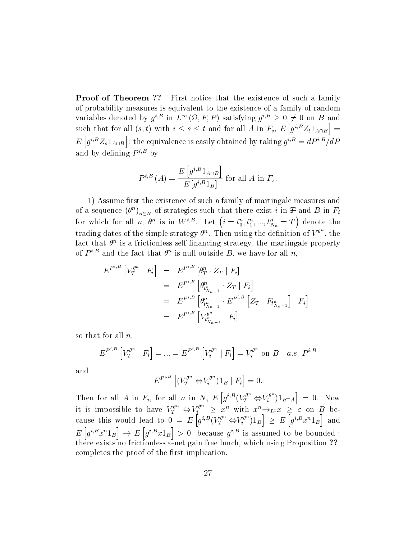**Proof of Theorem ??** First notice that the existence of such a family of probability measures is equivalent to the existence of a family of random variables denoted by  $q^{i,B}$  in  $L^{\infty}(\Omega, F, P)$  satisfying  $q^{i,B} \geq 0, \neq 0$  on B and such that for all  $(s, t)$  with  $i \leq s \leq t$  and for all A in  $F_s$ ,  $E[g^{i,B}Z_t1_{A\cap B}] =$  $E\left[g^{i,B} Z_s 1_{A\cap B}\right]$ : the equ : the equivalence is easily obtained by taking  $q^{\gamma} = aP^{\gamma}/aP$ and by defining  $P^{i,B}$  by

$$
P^{i,B}\left(A\right) = \frac{E\left[g^{i,B}1_{A\cap B}\right]}{E\left[g^{i,B}1_B\right]}
$$
 for all A in  $F_s$ .

1) Assume first the existence of such a family of martingale measures and of a sequence ( $\sigma$ )<sub>n $\in$ N</sub> of strategies such that there exist  $i$  in  $\bm{\tau}$  and B in  $F_i$ for which for all n,  $\theta^n$  is in  $W^{i,B}$ . Let  $\left(i = t_0^n, t_1^n, ..., t_{N_n}^n = T\right)$  denote t trading dates of the simple strategy  $\theta^n$ . Then using the definition of  $V^{\theta^n}$ , the fact that n is a frictionless self nancing strategy, the martingale property of  $P$  is and the fact that  $\sigma$  is null outside  $D$ , we have for all  $n$ ,

$$
E^{P^{i,B}}\left[V_T^{\theta^n} \mid F_i\right] = E^{P^{i,B}}\left[\theta_T^n \cdot Z_T \mid F_i\right]
$$
  
\n
$$
= E^{P^{i,B}}\left[\theta_{t_{N_{n-1}}^n}^n \cdot Z_T \mid F_i\right]
$$
  
\n
$$
= E^{P^{i,B}}\left[\theta_{t_{N_{n-1}}^n}^n \cdot E^{P^{i,B}}\left[Z_T \mid F_{t_{N_{n-1}}^n}\right] \mid F_i\right]
$$
  
\n
$$
= E^{P^{i,B}}\left[V_{t_{N_{n-1}}^n}^{\theta^n}\mid F_i\right]
$$

so that for all  $n$ ,

$$
E^{P^{i,B}}\left[V_T^{\theta^n} \mid F_i\right] = \dots = E^{P^{i,B}}\left[V_i^{\theta^n} \mid F_i\right] = V_i^{\theta^n} \text{ on } B \quad a.s. \ P^{i,B}
$$

and

$$
E^{P^{i,B}}\left[ (V_T^{\theta^n} \Leftrightarrow V_i^{\theta^n})1_B \mid F_i \right] = 0.
$$

Then for all A in  $F_i$ , for all n in N,  $E[g^{i,B}(V_T^{\theta^n} \Leftrightarrow V_i^{\theta^n})1_{B\cap A}] = 0$ . in the contract of the contract of the contract of the contract of the contract of the contract of the contract of the contract of the contract of the contract of the contract of the contract of the contract of the contrac it is impossible to have  $V_T^{\sigma^-} \Leftrightarrow V_i^{\sigma^-} \geq x^n$  with  $x^n \rightarrow_{L^1} x \geq \varepsilon$  on B because this would lead to  $0 = E\left[g^{i,B}(V_T^{\theta^n} \Leftrightarrow V_i^{\theta^n})1_B\right] \geq E\left[g\right]$  $\big] \ge E \big[ g^{i,B} x^n 1_B \big]$  and and it is a set of  $\begin{bmatrix} 0 & \cdots & i & \cdots & i \\ 0 & \cdots & i & \cdots & i \end{bmatrix}$  in  $\begin{bmatrix} 0 & \cdots & 0 \\ 0 & \cdots & 0 \end{bmatrix}$  $E[g^{i,B}x^n1_B] \to E[g^{i,B}x1_B] > 0$  -because  $g^{i,B}$  is assumed to be bounded-: there exists no frictionless  $\mathcal{M}$  -net gain free lunch, which using Proposition  $\mathcal{M}$ completes the proof of the first implication.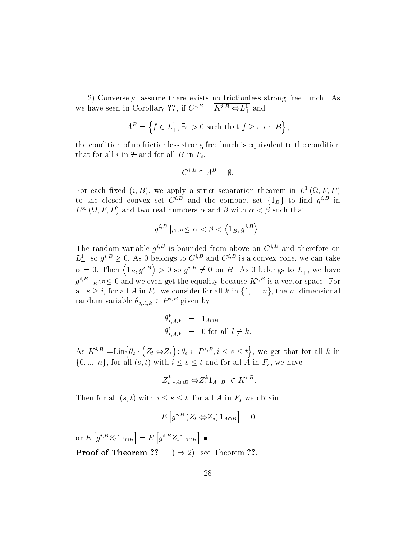2) Conversely, assume there exists no frictionless strong free lunch. As we have seen in Corollary  $\mathcal{L}$ ;, if  $C^{n} = K^{n} \oplus L^{\perp}$  and

$$
A^B = \left\{ f \in L^1_+, \exists \varepsilon > 0 \text{ such that } f \ge \varepsilon \text{ on } B \right\},\
$$

the condition of no frictionless strong free lunch is equivalent to the condition that for all i in  $\mathcal F$  and for all  $B$  in  $F_i$ ,

$$
C^{i,B}\cap A^B=\emptyset.
$$

For each fixed  $(i, B)$ , we apply a strict separation theorem in  $L^-(\Omega, F, F)$ to the closed convex set  $C^{\gamma-}$  and the compact set  $\{1_B\}$  to find  $g^{\gamma-}$  in  $L^{\infty}(\Omega, F, P)$  and two real numbers  $\alpha$  and  $\beta$  with  $\alpha < \beta$  such that

$$
g^{i,B}\mid_{C^{i,B}}\leq\alpha<\beta<\left\langle 1_{B},g^{i,B}\right\rangle .
$$

The random variable  $q<sub>1</sub>$  is bounded from above on C<sub>i</sub> and therefore on  $L_{\perp}$ , so  $q^{\gamma-} \geq 0$ . As 0 belongs to  $C^{\gamma-}$  and  $C^{\gamma-}$  is a convex cone, we can take  $\alpha = 0.$  Then  $\langle 1_B, g^{i,B} \rangle > 0$  so  $g^{i,B} \neq 0$  on B. As 0 belongs to  $L^1_+$ , we have  $g^{\gamma-} \mid_{K^{i,B}} \leq 0$  and we even get the equality because  $K^{\gamma-}$  is a vector space. For all  $s \geq i$ , for all A in  $F_s$ , we consider for all k in  $\{1, ..., n\}$ , the n-dimensional random variable  $\theta_{s,A,k} \in P^{s,B}$  given by

$$
\begin{array}{rcl}\n\theta_{s,A,k}^k & = & 1_{A \cap B} \\
\theta_{s,A,k}^l & = & 0 \text{ for all } l \neq k.\n\end{array}
$$

As  $K^{i,B} = \text{Lin}\{\theta_s \cdot (\bar{Z}_t \Leftrightarrow \bar{Z}_s) : \theta_s \in P^{s,B}, i \leq s \leq t\}$ , we get that for all k in  $\{0, ..., n\}$ , for all  $(s, t)$  with  $i \leq s \leq t$  and for all A in  $F_s$ , we have

$$
Z_t^k 1_{A \cap B} \Leftrightarrow Z_s^k 1_{A \cap B} \in K^{i,B}.
$$

Then for all  $(s, t)$  with  $i \leq s \leq t$ , for all A in  $F_s$  we obtain

$$
E\left[g^{i,B}\left(Z_t \Leftrightarrow Z_s\right)1_{A\cap B}\right] = 0
$$

or  $E[g^{i,B}Z_t1_{A\cap B}] = E[g^i]$  $E\left[g^{i,B}Z_{s}1_{A\cap B}\right]$  . **Proof of Theorem ??** 1)  $\Rightarrow$  2): see Theorem ??.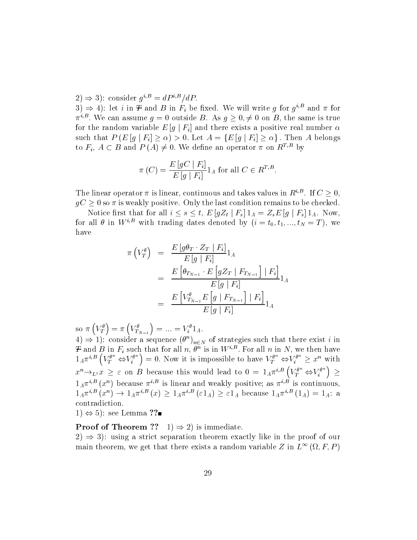$\Delta t \Rightarrow \Delta t$ ; consider  $g^{0, B} \equiv aP^{0, B}/aP$ .

 $\Im(\lambda) \Rightarrow$  4): let t in  $\bm{\tau}$  and  $\bm{D}$  in  $\bm{r}_i$  be fixed. We will write g for  $g^{\gamma -}$  and the form  $\pi^{0,2}$ . We can assume  $q = 0$  outside B. As  $q \geq 0, \neq 0$  on B, the same is true for the random variable  $E[g | F_i]$  and there exists a positive real number  $\alpha$ such that  $P(E[g | F_i] \ge \alpha) > 0$ . Let  $A = \{E[g | F_i] \ge \alpha\}$ . Then A belongs to  $F_i$ ,  $A \subset B$  and  $P(A) \neq 0$ . We define an operator  $\pi$  on  $R^{T,B}$  by

$$
\pi(C) = \frac{E\left[gC \mid F_i\right]}{E\left[g \mid F_i\right]} 1_A \text{ for all } C \in R^{T,B}.
$$

The linear operator  $\pi$  is linear, continuous and takes values in  $R^{\gamma-}$ . If  $C \geq 0$ ,  $gC \geq 0$  so  $\pi$  is weakly positive. Only the last condition remains to be checked.

Notice first that for all  $i \leq s \leq t$ ,  $E[gZ_t | F_s] 1_A = Z_s E[g | F_s] 1_A$ . Now, for all  $\theta$  in  $W^{i,B}$  with trading dates denoted by  $(i = t_0, t_1, ..., t_N = T)$ , we have

$$
\pi \left( V_T^{\theta} \right) = \frac{E \left[ g \theta_T \cdot Z_T \mid F_i \right]}{E \left[ g \mid F_i \right]} 1_A
$$
\n
$$
= \frac{E \left[ \theta_{T_{N-1}} \cdot E \left[ g Z_T \mid F_{T_{N-1}} \right] \mid F_i \right]}{E \left[ g \mid F_i \right]} 1_A
$$
\n
$$
= \frac{E \left[ V_{T_{N-1}}^{\theta} E \left[ g \mid F_{T_{N-1}} \right] \mid F_i \right]}{E \left[ g \mid F_i \right]} 1_A
$$

so  $\pi\left(V_T^{\theta}\right) = \pi\left(V_{T_{N-1}}^{\theta}\right) = ... = V_i^{\theta}1_A.$ 

 $(4) \Rightarrow 1$ ): consider a sequence  $(\theta^{\top})_{n \in N}$  of strategies such that there exist *t* in  $T$  and B in  $F_i$  such that for all n,  $\theta^{\alpha}$  is in  $W^{\beta-}$ . For all n in N, we then have  $1_A\pi^{i,B}\left(V_T^{\theta^n} \Leftrightarrow V_i^{\theta^n}\right) = 0$ . Now it is impossible to have  $V_T^{\theta^n} \Leftrightarrow V_i^{\theta^n} \geq x^n$  with  $x^n \rightarrow_{L^1} x \geq \varepsilon$  on B because this would lead to  $0 = 1_A \pi^{i,B} \left( V_T^{\theta^n} \Leftrightarrow V_i^{\theta^n} \right) \geq$  $1_A\pi^{\gamma-}(x^{\gamma})$  because  $\pi^{\gamma-}$  is linear and weakly positive; as  $\pi^{\gamma-}$  is continuous,  $1_A\pi^{\gamma-}(x^{\gamma}) \rightarrow 1_A\pi^{\gamma-}(x) \geq 1_A\pi^{\gamma-}(\epsilon 1_A) \geq \epsilon 1_A$  because  $1_A\pi^{\gamma-}(1_A) = 1_A$ : a contradiction.

 $(1) \Leftrightarrow 5$ : see Lemma ??

**Proof of Theorem ??** 1)  $\Rightarrow$  2) is immediate.

 $2) \Rightarrow 3$ : using a strict separation theorem exactly like in the proof of our main theorem, we get that there exists a random variable Z in  $L^{\infty}(\Omega, F, P)$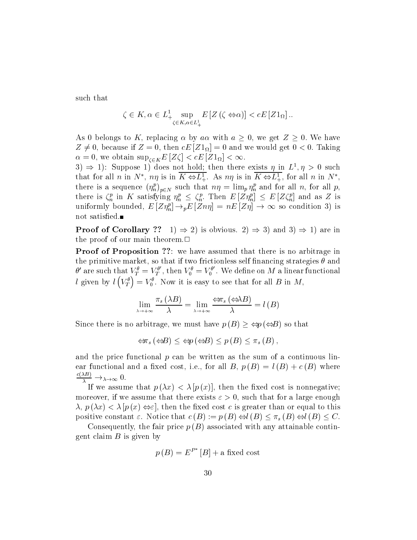such that

$$
\zeta \in K, \alpha \in L^1_{+\underset{\zeta \in K, \alpha \in L^1_+}{\sup}} E\left[Z\left(\zeta \Leftrightarrow \alpha\right)\right] < cE\left[Z\mathbf{1}_{\Omega}\right].
$$

As 0 belongs to K, replacing  $\alpha$  by  $a\alpha$  with  $a \geq 0$ , we get  $Z \geq 0$ . We have  $Z \neq 0$ , because if  $Z = 0$ , then  $cE |Z I_{\Omega}| = 0$  and we would get  $0 < 0$ . Taking  $\alpha = 0$ , we obtain  $\sup_{\zeta \in K} E$  [Z $\zeta$ ] <  $cE$  [Z $\iota_{\Omega}$ ] <  $\infty$ .

 $\beta$   $\Rightarrow$  1): Suppose 1) does not hold; then there exists  $\eta$  in  $L^2$ ,  $\eta > 0$  such that for all n in  $N^*$ ,  $n\eta$  is in  $\overline{K \Leftrightarrow L^1_+}$ . As  $n\eta$  is in  $\overline{K \Leftrightarrow L^1_+}$ , for all n in  $N^*$ , there is a sequence  $(\eta_n')_{p \in N}$  such that  $n\eta = \min_p \eta_n$  and for all n, for all p, there is  $\zeta_n^L$  in  $\Lambda$  satisfying  $\eta_n^L \leq \zeta_n^L$ . Then  $E[Z\eta_n^L] \leq E[Z\zeta_n^L]$  and as Z is uniformly bounded,  $E[Z\eta_n^p] \to pE[Z\eta\eta] = nE[Z\eta] \to \infty$  so condition 3) is not satisfied.

**Proof of Corollary** ?? 1)  $\Rightarrow$  2) is obvious. 2)  $\Rightarrow$  3) and 3)  $\Rightarrow$  1) are in the proof of our main theorem. $\Box$ 

Proof of Proposition ??: we have assumed that there is no arbitrage in the primitive market, so that if two frictionless self financing strategies  $\theta$  and  $\theta'$  are such that  $V^\theta_T = V^{\theta'}_T$ , then  $V^\theta_0 = V^{\theta'}_0$ . We define on  $M$  a linear functional l given by  $l\left(V_T^{\theta}\right) = V_0^{\theta}$ . Now it is easy to see that for all B in M,

$$
\lim_{\lambda \to +\infty} \frac{\pi_s(\lambda B)}{\lambda} = \lim_{\lambda \to +\infty} \frac{\Leftrightarrow \pi_s(\Leftrightarrow \lambda B)}{\lambda} = l(B)
$$
  
Since there is no arbitrage, we must have  $p(B) > \Leftrightarrow p(\Leftrightarrow B)$  so that

arbitrage, we must have  $p(B) \ge \Leftrightarrow p(\Leftrightarrow B)$  so t<br>  $\Leftrightarrow \pi_s(\Leftrightarrow B) \le \Leftrightarrow p(\Leftrightarrow B) \le p(B) \le \pi_s(B)$ ,

$$
\Leftrightarrow \pi_s \left( \Leftrightarrow B \right) \leq \Leftrightarrow p \left( \Leftrightarrow B \right) \leq p \left( B \right) \leq \pi_s \left( B \right),
$$

and the price functional  $p$  can be written as the sum of a continuous linear functional and a fixed cost, i.e., for all B,  $p(B) = l(B) + c(B)$  where  $\frac{1}{\lambda} \rightarrow \lambda \rightarrow \infty$  0.

If we assume that  $p(\lambda x) < \lambda [p(x)]$ , then the fixed cost is nonnegative; moreover, if we assume that there exists  $\varepsilon > 0$ , such that for a large enough  $\lambda$ ,  $p(\lambda x) < \lambda | p(x) \Leftrightarrow \varepsilon$ , then the fixed cost c is greater than or equal to this positive constant  $\varepsilon$ . Notice that  $c(B) := p(B) \Leftrightarrow l(B) \leq \pi_s(B) \Leftrightarrow l(B) \leq C$ .

Consequently, the fair price  $p(B)$  associated with any attainable contingent claim  $B$  is given by

$$
p(B) = E^{P^*}[B] + \text{a fixed cost}
$$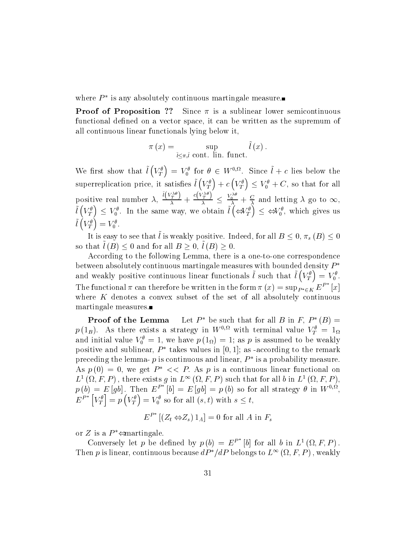where  $P^*$  is any absolutely continuous martingale measure.

**Proof of Proposition ??** Since  $\pi$  is a sublinear lower semicontinuous functional defined on a vector space, it can be written as the supremum of all continuous linear functionals lying below it,

$$
\pi(x) = \sup_{\tilde{l} \leq \pi, \tilde{l} \text{ cont. } \text{lin. } \text{funct.}} \tilde{l}(x).
$$

We first show that  $\tilde{l}(V_T^{\theta}) = V_0^{\theta}$  for  $\theta \in W^{0,\Omega}$ . Since  $\tilde{l} + c$  lies below the superreplication price, it satisfies  $\tilde{l}(V_T^{\theta}) + c(V_T^{\theta}) \leq V_0^{\theta} + C$ , so that for all positive real number  $\lambda$ ,  $\frac{\binom{V_T}{T}}{\lambda} + \frac{\binom{V_T}{T}}{\lambda} \leq \frac{\binom{V_0}{0}}{\lambda}$  $\frac{\partial C(V_T)}{\partial \lambda} \leq \frac{V_0^{\alpha_0}}{\lambda} + \frac{C}{\lambda}$  and letting  $\lambda$  go to  $\infty$ ,  $\tilde{l}(V_T^{\theta}) \leq V_0^{\theta}$ . In the same way, we obtain  $\tilde{l}(\Leftrightarrow V_T^{\theta}) \leq \Leftrightarrow V_0^{\theta}$ , which gives us  $\tilde{l}(V_T^{\theta})=V_0^{\theta}.$ 

It is easy to see that  $\iota$  is weakly positive. Indeed, for all  $B\leq 0,$   $\pi_{s}$  ( $B$  )  $\leq 0$ so that  $l(B) \leq 0$  and for all  $B \geq 0$ ,  $l(B) \geq 0$ .

According to the following Lemma, there is a one-to-one correspondence between absolutely continuous martingale measures with bounded density  $P^*$ and weakly positive continuous linear functionals  $\tilde{l}$  such that  $\tilde{l}(V_T^{\theta}) = V_0^{\theta}$ . The functional  $\pi$  can therefore be written in the form  $\pi(x) = \sup_{P^* \in K} E^F$  [x] where  $K$  denotes a convex subset of the set of all absolutely continuous martingale measures.

**Proof of the Lemma** Let  $P^*$  be such that for all B in F,  $P^*(B)$  =  $p$  (1<sub>B</sub>). As there exists a strategy in W<sup>o; w</sup> with terminal value  $V_T^- = 1\Omega$ and initial value  $v_0^+ = 1$ , we have  $p(\perp_{\Omega}) = 1$ ; as p is assumed to be weakly positive and sublinear,  $P^*$  takes values in [0, 1]; as -according to the remark preceding the lemma-  $p$  is continuous and linear,  $P^*$  is a probability measure. As  $p(0) = 0$ , we get  $P^* \ll P$ . As p is a continuous linear functional on  $L^1(\Omega, F, P)$ , there exists g in  $L^{\infty}(\Omega, F, P)$  such that for all b in  $L^1(\Omega, F, P)$ ,  $p(b) = E |ab|$ . Then  $E^F |b| = E |ab| = p(b)$  so for all strategy  $\theta$  in  $W^{0,3L}$ .  $E^{P^*}\left[V_T^\theta\right] = p\left(V_T^\theta\right)$  $\big] = p\left(V_T^{\theta}\right) = V_0^{\theta}$  so for all  $(s,t)$  with  $s \leq t$ ,

$$
E^{P^*}[(Z_t \Leftrightarrow Z_s) 1_A] = 0 \text{ for all } A \text{ in } F_s
$$

or Z is a  $P^* \neq$  martingale.

Conversely let p be defined by  $p(b) = E^F |b|$  for all b in  $L^1(\Omega, F, P)$ . Then p is linear, continuous because  $dP^*/dP$  belongs to  $L^{\infty}(\Omega, F, P)$ , weakly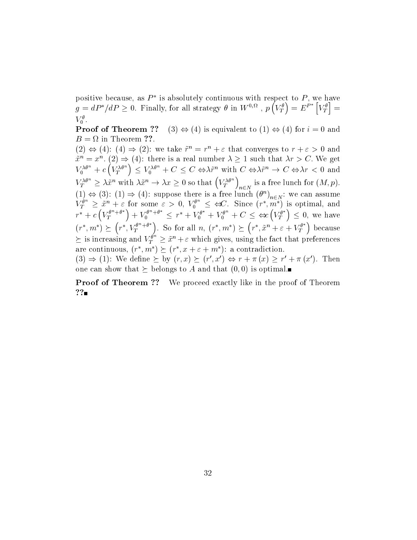positive because, as  $P^*$  is absolutely continuous with respect to P, we have  $g = dP^* / dP \ge 0$ . Finally, for all strategy  $\theta$  in  $W^{0,\Omega}$  ,  $p(V_T^{\theta}) = E^{P^*}[V_T^{\theta}] =$ in the company of the company of the company of the company of the company of the company of the company of the  $V_0$ .

**Proof of Theorem ??** (3)  $\Leftrightarrow$  (4) is equivalent to (1)  $\Leftrightarrow$  (4) for  $i = 0$  and

 $(2) \Leftrightarrow (4) : (4) \Rightarrow (2) :$  we take  $r^* = r^* + \varepsilon$  that converges to  $r + \varepsilon > 0$  and  $x^m = x^m$ . (2)  $\Rightarrow$  (4): there is a real number  $\lambda \geq 1$  such that  $\lambda r \geq C$ . We get  $V_0^{\lambda\theta^n}+c\left(V_T^{\lambda\theta^n}\right)\leq V_0^{\lambda\theta^n}+C\leq C\Leftrightarrow \lambda\tilde{r}^n\text{ with }C\Leftrightarrow \lambda\tilde{r}^n\to C\Leftrightarrow \lambda r\lt 0\text{ and }$  $V^{\lambda\theta^n}_T\geq\lambda\tilde{x}^n\ \text{with}\ \lambda\tilde{x}^n\rightarrow\lambda x\geq 0\ \text{so that}\left(V^{\lambda\theta^n}_T\right)_{n\in N}\ \text{is a free lunch for}\ (M,p).$  $(1) \Leftrightarrow (3)$ :  $(1) \Rightarrow (4)$ : suppose there is a free lunch  $(\theta^{\circ})_{n \in N}$ : we can assume  $V_T^{\theta^n} \geq \tilde{x}^n + \varepsilon$  for some  $\varepsilon > 0$ ,  $V_0^{\theta^n} \leq \Leftrightarrow C$ . Since  $(r^*, m^*)$  is optimal, and  $r^* + c \left(V_T^{\theta^n + \theta^*}\right) + V_0^{\theta^n + \theta^*} \leq r^* + V_0^{\theta^*} + V_0^{\theta^n} + C \leq \Leftrightarrow (V_T^{\theta^*}) \leq 0$ , we have  $(r^*, m^*) \succ (r^*, V_T^{\theta^n + \theta^*}).$  $r^*, V_T^{\theta^n+\theta^*}$ ). So for all  $n, (r^*, m^*) \succeq (r^*, \tilde{x}^n + \varepsilon + \theta^*)$  $r^*, \tilde{x}^n + \varepsilon + V^{\theta^*}_T$  because  $\succeq$  is increasing and  $V_T^r \geq \tilde{x}^n + \varepsilon$  which gives, using the fact that preferences are continuous,  $(r^*, m^*) \succ (r^*, x + \varepsilon + m^*)$ : a contradiction.  $(3) \Rightarrow (1)$ : We define  $\succ$  by  $(r, x) \succ (r', x') \Leftrightarrow r + \pi(x) > r' + \pi(x')$ . Then

one can show that  $\succeq$  belongs to A and that  $(0,0)$  is optimal.

**Proof of Theorem ??** We proceed exactly like in the proof of Theorem ??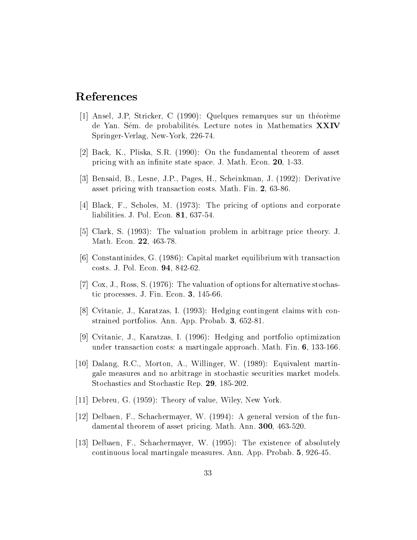# References

- [1] Ansel, J.P, Stricker, C (1990): Quelques remarques sur un theoreme de Yan. Sém. de probabilités. Lecture notes in Mathematics XXIV Springer-Verlag, New-York, 226-74.
- [2] Back, K., Pliska, S.R. (1990): On the fundamental theorem of asset pricing with an infinite state space. J. Math. Econ. 20, 1-33.
- [3] Bensaid, B., Lesne, J.P., Pages, H., Scheinkman, J. (1992): Derivative asset pricing with transaction costs. Math. Fin. 2, 63-86.
- [4] Black, F., Scholes, M. (1973): The pricing of options and corporate liabilities. J. Pol. Econ. 81, 637-54.
- [5] Clark, S. (1993): The valuation problem in arbitrage price theory. J. Math. Econ. 22, 463-78.
- [6] Constantinides, G. (1986): Capital market equilibrium with transaction costs. J. Pol. Econ. 94, 842-62.
- [7] Cox, J., Ross, S. (1976): The valuation of options for alternative stochastic processes. J. Fin. Econ. 3, 145-66.
- [8] Cvitanic, J., Karatzas, I. (1993): Hedging contingent claims with constrained portfolios. Ann. App. Probab. 3, 652-81.
- [9] Cvitanic, J., Karatzas, I. (1996): Hedging and portfolio optimization under transaction costs: a martingale approach. Math. Fin. 6, 133-166.
- [10] Dalang, R.C., Morton, A., Willinger, W. (1989): Equivalent martingale measures and no arbitrage in stochastic securities market models. Stochastics and Stochastic Rep. 29, 185-202.
- [11] Debreu, G. (1959): Theory of value, Wiley, New York.
- [12] Delbaen, F., Schachermayer, W. (1994): A general version of the fundamental theorem of asset pricing. Math. Ann. 300, 463-520.
- [13] Delbaen, F., Schachermayer, W. (1995): The existence of absolutely continuous local martingale measures. Ann. App. Probab. 5, 926-45.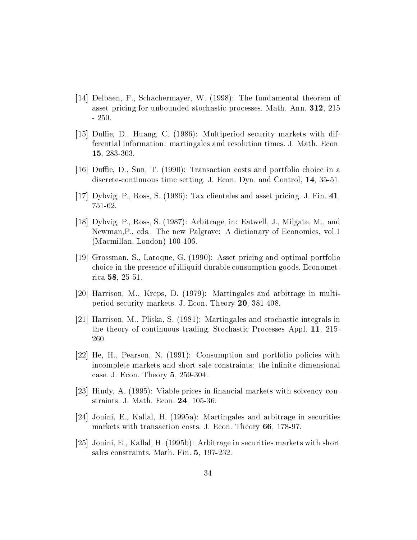- [14] Delbaen, F., Schachermayer, W. (1998): The fundamental theorem of asset pricing for unbounded stochastic processes. Math. Ann. 312, 215 - 250.
- [15] Duffie, D., Huang, C.  $(1986)$ : Multiperiod security markets with differential information: martingales and resolution times. J. Math. Econ. 15, 283-303.
- [16] Duffie, D., Sun, T. (1990): Transaction costs and portfolio choice in a discrete-continuous time setting. J. Econ. Dyn. and Control, 14, 35-51.
- [17] Dybvig, P., Ross, S. (1986): Tax clienteles and asset pricing. J. Fin. 41, 751-62.
- [18] Dybvig, P., Ross, S. (1987): Arbitrage, in: Eatwell, J., Milgate, M., and Newman,P., eds., The new Palgrave: A dictionary of Economics, vol.1 (Macmillan, London) 100-106.
- [19] Grossman, S., Laroque, G. (1990): Asset pricing and optimal portfolio choice in the presence of illiquid durable consumption goods. Econometrica 58, 25-51.
- [20] Harrison, M., Kreps, D. (1979): Martingales and arbitrage in multiperiod security markets. J. Econ. Theory 20,381-408.
- [21] Harrison, M., Pliska, S. (1981): Martingales and stochastic integrals in the theory of continuous trading. Stochastic Processes Appl. 11, 215- 260.
- [22] He, H., Pearson, N. (1991): Consumption and portfolio policies with incomplete markets and short-sale constraints: the infinite dimensional case. J. Econ. Theory 5, 259-304.
- [23] Hindy, A. (1995): Viable prices in financial markets with solvency constraints. J. Math. Econ. 24, 105-36.
- [24] Jouini, E., Kallal, H. (1995a): Martingales and arbitrage in securities markets with transaction costs. J. Econ. Theory 66, 178-97.
- [25] Jouini, E., Kallal, H. (1995b): Arbitrage in securities markets with short sales constraints. Math. Fin. 5, 197-232.